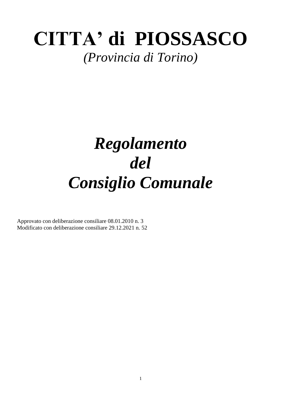# **CITTA' di PIOSSASCO**

## *(Provincia di Torino)*

## *Regolamento del Consiglio Comunale*

Approvato con deliberazione consiliare 08.01.2010 n. 3 Modificato con deliberazione consiliare 29.12.2021 n. 52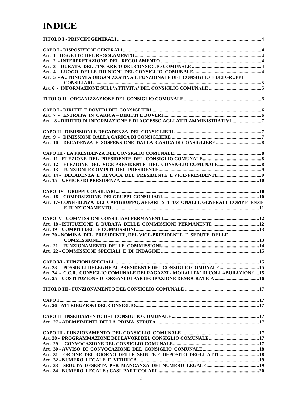### **INDICE**

| Art. 5 - AUTONOMIA ORGANIZZATIVA E FUNZIONALE DEL CONSIGLIO E DEI GRUPPI                    |  |
|---------------------------------------------------------------------------------------------|--|
| $\begin{array}{c}\n\text{CONSILLARI} \\ \text{NIONSILLARI} \\ \text{SVDOPL} \\ \end{array}$ |  |
|                                                                                             |  |
|                                                                                             |  |
|                                                                                             |  |
|                                                                                             |  |
|                                                                                             |  |
| Art. 8 - DIRITTO DI INFORMAZIONE E DI ACCESSO AGLI ATTI AMMINISTRATIVI7                     |  |
|                                                                                             |  |
|                                                                                             |  |
|                                                                                             |  |
|                                                                                             |  |
|                                                                                             |  |
|                                                                                             |  |
|                                                                                             |  |
|                                                                                             |  |
|                                                                                             |  |
|                                                                                             |  |
|                                                                                             |  |
|                                                                                             |  |
|                                                                                             |  |
|                                                                                             |  |
| Art. 17- CONFERENZA DEI CAPIGRUPPO, AFFARI ISTITUZIONALI E GENERALI. COMPETENZE             |  |
|                                                                                             |  |
|                                                                                             |  |
|                                                                                             |  |
|                                                                                             |  |
|                                                                                             |  |
| Art. 20 - NOMINA DEL PRESIDENTE, DEL VICE-PRESIDENTE E SEDUTE DELLE                         |  |
|                                                                                             |  |
|                                                                                             |  |
|                                                                                             |  |
|                                                                                             |  |
|                                                                                             |  |
| Art. 23 - POSSIBILI DELEGHE AL PRESIDENTE DEL CONSIGLIO COMUNALE 15                         |  |
| Art. 24 - C.C.R. CONSIGLIO COMUNALE DEI RAGAZZI - MODALITA' DI COLLABORAZIONE  15           |  |
|                                                                                             |  |
|                                                                                             |  |
|                                                                                             |  |
|                                                                                             |  |
|                                                                                             |  |
|                                                                                             |  |
|                                                                                             |  |
|                                                                                             |  |
|                                                                                             |  |
|                                                                                             |  |
|                                                                                             |  |
|                                                                                             |  |
|                                                                                             |  |
| Art. 31 - ORDINE DEL GIORNO DELLE SEDUTE E DEPOSITO DEGLI ATTI  18                          |  |
|                                                                                             |  |
|                                                                                             |  |
|                                                                                             |  |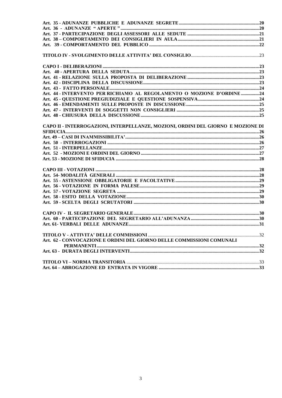| Art. 44 - INTERVENTO PER RICHIAMO AL REGOLAMENTO O MOZIONE D'ORDINE 24           |  |
|----------------------------------------------------------------------------------|--|
|                                                                                  |  |
|                                                                                  |  |
|                                                                                  |  |
|                                                                                  |  |
| CAPO II - INTERROGAZIONI, INTERPELLANZE, MOZIONI, ORDINI DEL GIORNO E MOZIONE DI |  |
|                                                                                  |  |
|                                                                                  |  |
|                                                                                  |  |
|                                                                                  |  |
|                                                                                  |  |
|                                                                                  |  |
|                                                                                  |  |
|                                                                                  |  |
|                                                                                  |  |
|                                                                                  |  |
|                                                                                  |  |
|                                                                                  |  |
|                                                                                  |  |
|                                                                                  |  |
|                                                                                  |  |
|                                                                                  |  |
|                                                                                  |  |
| Art. 62 - CONVOCAZIONE E ORDINI DEL GIORNO DELLE COMMISSIONI COMUNALI            |  |
|                                                                                  |  |
|                                                                                  |  |
|                                                                                  |  |
|                                                                                  |  |
|                                                                                  |  |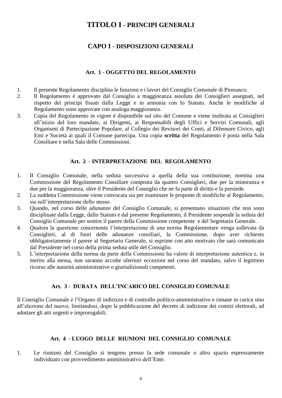#### **TITOLO I - PRINCIPI GENERALI**

#### **CAPO I - DISPOSIZIONI GENERALI**

#### **Art. 1** - **OGGETTO DEL REGOLAMENTO**

- <span id="page-3-2"></span><span id="page-3-1"></span><span id="page-3-0"></span>1. Il presente Regolamento disciplina le funzioni e i lavori del Consiglio Comunale di Piossasco.
- 2. Il Regolamento è approvato dal Consiglio a maggioranza assoluta dei Consiglieri assegnati, nel rispetto dei principi fissati dalla Legge e in armonia con lo Statuto. Anche le modifiche al Regolamento sono approvate con analoga maggioranza.
- 3. Copia del Regolamento in vigore è disponibile sul sito del Comune e viene inoltrata ai Consiglieri all'inizio del loro mandato, ai Dirigenti, ai Responsabili degli Uffici e Servizi Comunali, agli Organismi di Partecipazione Popolare, al Collegio dei Revisori dei Conti, al Difensore Civico, agli Enti e Società ai quali il Comune partecipa. Una copia **scritta** del Regolamento è posta nella Sala Consiliare e nella Sala delle Commissioni.

#### **Art. 2** - **INTERPRETAZIONE DEL REGOLAMENTO**

- <span id="page-3-3"></span>1. Il Consiglio Comunale, nella seduta successiva a quella della sua costituzione, nomina una Commissione del Regolamento Consiliare composta da quattro Consiglieri, due per la minoranza e due per la maggioranza, oltre il Presidente del Consiglio che ne fa parte di diritto e la presiede.
- 2. La suddetta Commissione viene convocata sia per esaminare le proposte di modifiche al Regolamento, sia sull'interpretazione dello stesso.
- 3. Quando, nel corso delle adunanze del Consiglio Comunale, si presentano situazioni che non sono disciplinate dalla Legge, dallo Statuto e dal presente Regolamento, il Presidente sospende la seduta del Consiglio Comunale per sentire il parere della Commissione competente e del Segretario Generale.
- 4. Qualora la questione concernente l'interpretazione di una norma Regolamentare venga sollevata da Consiglieri, al di fuori delle adunanze consiliari, la Commissione, dopo aver richiesto obbligatoriamente il parere al Segretario Generale, si esprime con atto motivato che sarà comunicato dal Presidente nel corso della prima seduta utile del Consiglio.
- 5. L'interpretazione della norma da parte della Commissione ha valore di interpretazione autentica e, in merito alla stessa, non saranno accolte ulteriori eccezioni nel corso del mandato, salvo il legittimo ricorso alle autorità amministrative o giurisdizionali competenti.

#### **Art. 3** - **DURATA DELL'INCARICO DEL CONSIGLIO COMUNALE**

<span id="page-3-4"></span>Il Consiglio Comunale è l'Organo di indirizzo e di controllo politico-amministrativo e rimane in carica sino all'elezione del nuovo, limitandosi, dopo la pubblicazione del decreto di indizione dei comizi elettorali, ad adottare gli atti urgenti e improrogabili.

#### **Art. 4** - **LUOGO DELLE RIUNIONI DEL CONSIGLIO COMUNALE**

<span id="page-3-5"></span>1. Le riunioni del Consiglio si tengono presso la sede comunale o altro spazio espressamente individuato con provvedimento amministrativo dell'Ente.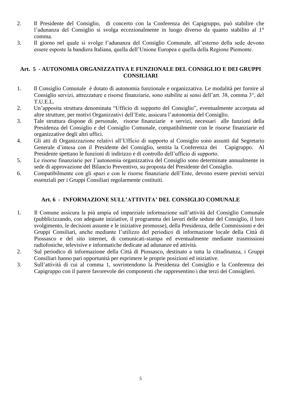- 2. Il Presidente del Consiglio, di concerto con la Conferenza dei Capigruppo, può stabilire che l'adunanza del Consiglio si svolga eccezionalmente in luogo diverso da quanto stabilito al 1° comma.
- 3. Il giorno nel quale si svolge l'adunanza del Consiglio Comunale, all'esterno della sede devono essere esposte la bandiera Italiana, quella dell'Unione Europea e quella della Regione Piemonte.

#### <span id="page-4-0"></span>**Art. 5 - AUTONOMIA ORGANIZZATIVA E FUNZIONALE DEL CONSIGLIO E DEI GRUPPI CONSILIARI**

- 1. Il Consiglio Comunale è dotato di autonomia funzionale e organizzativa. Le modalità per fornire al Consiglio servizi, attrezzature e risorse finanziarie, sono stabilite ai sensi dell'art. 38, comma 3°, del T.U.E.L.
- 2. Un'apposita struttura denominata "Ufficio di supporto del Consiglio", eventualmente accorpata ad altre strutture, per motivi Organizzativi dell'Ente, assicura l'autonomia del Consiglio.
- 3. Tale struttura dispone di personale, risorse finanziarie e servizi, necessari alle funzioni della Presidenza del Consiglio e del Consiglio Comunale, compatibilmente con le risorse finanziarie ed organizzative degli altri uffici.
- 4. Gli atti di Organizzazione relativi all'Ufficio di supporto al Consiglio sono assunti dal Segretario Generale d'intesa con il Presidente del Consiglio, sentita la Conferenza dei Capigruppo. Al Presidente spettano le funzioni di indirizzo e di controllo dell'ufficio di supporto.
- 5. Le risorse finanziarie per l'autonomia organizzativa del Consiglio sono determinate annualmente in sede di approvazione del Bilancio Preventivo, su proposta del Presidente del Consiglio.
- 6. Compatibilmente con gli spazi e con le risorse finanziarie dell'Ente, devono essere previsti servizi essenziali per i Gruppi Consiliari regolarmente costituiti.

#### **Art. 6 - INFORMAZIONE SULL'ATTIVITA' DEL CONSIGLIO COMUNALE**

- <span id="page-4-1"></span>1. Il Comune assicura la più ampia ed imparziale informazione sull'attività del Consiglio Comunale (pubblicizzando, con adeguate iniziative, il programma dei lavori delle sedute del Consiglio, il loro svolgimento, le decisioni assunte e le iniziative promosse), della Presidenza, delle Commissioni e dei Gruppi Consiliari, anche mediante l'utilizzo del periodico di informazione locale della Città di Piossasco e del sito internet, di comunicati-stampa ed eventualmente mediante trasmissioni radiofoniche, televisive e informatiche dedicate ad adunanze ed attività.
- 2. Sul periodico di informazione della Città di Piossasco, destinato a tutta la cittadinanza, i Gruppi Consiliari hanno pari opportunità per esprimere le proprie posizioni ed iniziative.
- 3. Sull'attività di cui al comma 1, sovrintendono la Presidenza del Consiglio e la Conferenza dei Capigruppo con il parere favorevole dei componenti che rappresentino i due terzi dei Consiglieri.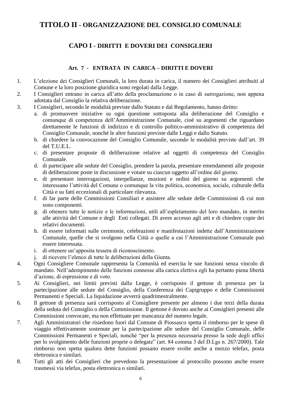#### <span id="page-5-1"></span><span id="page-5-0"></span>**TITOLO II - ORGANIZZAZIONE DEL CONSIGLIO COMUNALE**

#### **CAPO I - DIRITTI E DOVERI DEI CONSIGLIERI**

#### **Art. 7 - ENTRATA IN CARICA – DIRITTI E DOVERI**

- <span id="page-5-2"></span>1. L'elezione dei Consiglieri Comunali, la loro durata in carica, il numero dei Consiglieri attribuiti al Comune e la loro posizione giuridica sono regolati dalla Legge.
- 2. I Consiglieri entrano in carica all'atto della proclamazione o in caso di surrogazione, non appena adottata dal Consiglio la relativa deliberazione.
- 3. I Consiglieri, secondo le modalità previste dallo Statuto e dal Regolamento, hanno diritto:
	- a. di promuovere iniziative su ogni questione sottoposta alla deliberazione del Consiglio e comunque di competenza dell'Amministrazione Comunale, cioè su argomenti che riguardano direttamente le funzioni di indirizzo e di controllo politico-amministrativo di competenza del Consiglio Comunale, nonché le altre funzioni previste dalle Leggi e dallo Statuto.
	- b. di chiedere la convocazione del Consiglio Comunale, secondo le modalità previste dall'art. 39 del T.U.E.L.
	- c. di presentare proposte di deliberazione relative ad oggetti di competenza del Consiglio Comunale.
	- d. di partecipare alle sedute del Consiglio, prendere la parola, presentare emendamenti alle proposte di deliberazione poste in discussione e votare su ciascun oggetto all'ordine del giorno.
	- e. di presentare interrogazioni, interpellanze, mozioni e ordini del giorno su argomenti che interessano l'attività del Comune o comunque la vita politica, economica, sociale, culturale della Città e su fatti eccezionali di particolare rilevanza.
	- f. di far parte delle Commissioni Consiliari e assistere alle sedute delle Commissioni di cui non sono componenti.
	- g. di ottenere tutte le notizie e le informazioni, utili all'espletamento del loro mandato, in merito alle attività del Comune e degli Enti collegati. Di avere accesso agli atti e di chiedere copie dei relativi documenti.
	- h. di essere informati sulle cerimonie, celebrazioni e manifestazioni indette dall'Amministrazione Comunale, quelle che si svolgono nella Città o quelle a cui l'Amministrazione Comunale può essere interessata.
	- i. di ottenere un'apposita tessera di riconoscimento.
	- j. di ricevere l'elenco di tutte le deliberazioni della Giunta.
- 4. Ogni Consigliere Comunale rappresenta la Comunità ed esercita le sue funzioni senza vincolo di mandato. Nell'adempimento delle funzioni connesse alla carica elettiva egli ha pertanto piena libertà d'azione, di espressione e di voto.
- 5. Ai Consiglieri, nei limiti previsti dalla Legge, è corrisposto il gettone di presenza per la partecipazione alle sedute del Consiglio, della Conferenza dei Capigruppo e delle Commissioni Permanenti e Speciali. La liquidazione avverrà quadrimestralmente.
- 6. Il gettone di presenza sarà corrisposto al Consigliere presente per almeno i due terzi della durata della seduta del Consiglio o della Commissione. Il gettone è dovuto anche ai Consiglieri presenti alle Commissioni convocate, ma non effettuate per mancanza del numero legale.
- 7. Agli Amministratori che risiedono fuori dal Comune di Piossasco spetta il rimborso per le spese di viaggio effettivamente sostenute per la partecipazione alle sedute del Consiglio Comunale, delle Commissioni Permanenti e Speciali, nonché "per la presenza necessaria presso la sede degli uffici per lo svolgimento delle funzioni proprie o delegate" (art. 84 comma 3 del D.Lgs n. 267/2000). Tale rimborso non spetta qualora dette funzioni possano essere svolte anche a mezzo telefax, posta elettronica e similari.
- 8. Tutti gli atti dei Consiglieri che prevedono la presentazione al protocollo possono anche essere trasmessi via telefax, posta elettronica o similari.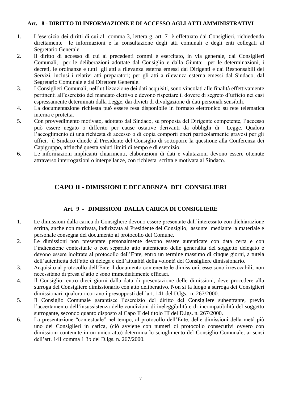#### <span id="page-6-0"></span>**Art. 8 - DIRITTO DI INFORMAZIONE E DI ACCESSO AGLI ATTI AMMINISTRATIVI**

- 1. L'esercizio dei diritti di cui al comma 3, lettera g. art. 7 è effettuato dai Consiglieri, richiedendo direttamente le informazioni e la consultazione degli atti comunali e degli enti collegati al Segretario Generale.
- 2. Il diritto di accesso di cui ai precedenti commi è esercitato, in via generale, dai Consiglieri Comunali, per le deliberazioni adottate dal Consiglio e dalla Giunta; per le determinazioni, i decreti, le ordinanze e tutti gli atti a rilevanza esterna emessi dai Dirigenti e dai Responsabili dei Servizi, inclusi i relativi atti preparatori; per gli atti a rilevanza esterna emessi dal Sindaco, dal Segretario Comunale e dal Direttore Generale.
- 3. I Consiglieri Comunali, nell'utilizzazione dei dati acquisiti, sono vincolati alle finalità effettivamente pertinenti all'esercizio del mandato elettivo e devono rispettare il dovere di segreto d'ufficio nei casi espressamente determinati dalla Legge, dai divieti di divulgazione di dati personali sensibili.
- 4. La documentazione richiesta può essere resa disponibile in formato elettronico su rete telematica interna e protetta.
- 5. Con provvedimento motivato, adottato dal Sindaco, su proposta del Dirigente competente, l'accesso può essere negato o differito per cause ostative derivanti da obblighi di Legge. Qualora l'accoglimento di una richiesta di accesso o di copia comporti oneri particolarmente gravosi per gli uffici, il Sindaco chiede al Presidente del Consiglio di sottoporre la questione alla Conferenza dei Capigruppo, affinché questa valuti limiti di tempo e di esercizio.
- <span id="page-6-1"></span>6. Le informazioni implicanti chiarimenti, elaborazioni di dati e valutazioni devono essere ottenute attraverso interrogazioni o interpellanze, con richiesta scritta e motivata al Sindaco.

#### **CAPO II - DIMISSIONI E DECADENZA DEI CONSIGLIERI**

#### **Art. 9 - DIMISSIONI DALLA CARICA DI CONSIGLIERE**

- <span id="page-6-2"></span>1. Le dimissioni dalla carica di Consigliere devono essere presentate dall'interessato con dichiarazione scritta, anche non motivata, indirizzata al Presidente del Consiglio, assunte mediante la materiale e personale consegna del documento al protocollo del Comune.
- 2. Le dimissioni non presentate personalmente devono essere autenticate con data certa e con l'indicazione contestuale o con separato atto autenticato delle generalità del soggetto delegato e devono essere inoltrate al protocollo dell'Ente, entro un termine massimo di cinque giorni, a tutela dell'autenticità dell'atto di delega e dell'attualità della volontà del Consigliere dimissionario.
- 3. Acquisito al protocollo dell'Ente il documento contenente le dimissioni, esse sono irrevocabili, non necessitano di presa d'atto e sono immediatamente efficaci.
- 4. Il Consiglio, entro dieci giorni dalla data di presentazione delle dimissioni, deve procedere alla surroga del Consigliere dimissionario con atto deliberativo. Non si fa luogo a surroga dei Consiglieri dimissionari, qualora ricorrano i presupposti dell'art. 141 del D.lgs. n. 267/2000.
- 5. Il Consiglio Comunale garantisce l'esercizio del diritto del Consigliere subentrante, previo l'accertamento dell'insussistenza delle condizioni di ineleggibilità e di incompatibilità del soggetto surrogante, secondo quanto disposto al Capo II del titolo III del D.lgs. n. 267/2000.
- <span id="page-6-3"></span>6. La presentazione "contestuale" nel tempo, al protocollo dell'Ente, delle dimissioni della metà più uno dei Consiglieri in carica, (ciò avviene con numeri di protocollo consecutivi ovvero con dimissioni contenute in un unico atto) determina lo scioglimento del Consiglio Comunale, ai sensi dell'art. 141 comma 1 3b del D.lgs. n. 267/2000.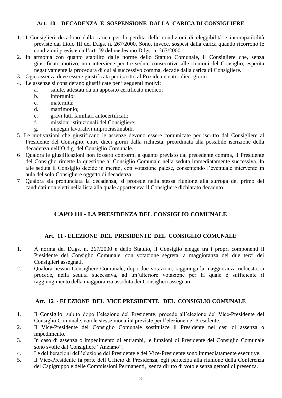#### **Art. 10 - DECADENZA E SOSPENSIONE DALLA CARICA DI CONSIGLIERE**

- 1. I Consiglieri decadono dalla carica per la perdita delle condizioni di eleggibilità e incompatibilità previste dal titolo III del D.lgs. n. 267/2000. Sono, invece, sospesi dalla carica quando ricorrono le condizioni previste dall'art. 59 del medesimo D.lgs. n. 267/2000.
- 2. In armonia con quanto stabilito dalle norme dello Statuto Comunale, il Consigliere che, senza giustificato motivo, non interviene per tre sedute consecutive alle riunioni del Consiglio, esperita negativamente la procedura di cui al successivo comma, decade dalla carica di Consigliere.
- 3. Ogni assenza deve essere giustificata per iscritto al Presidente entro dieci giorni.
- 4. Le assenze si considerano giustificate per i seguenti motivi:
	- a. salute, attestati da un apposito certificato medico;
		- b. infortunio;
		- c. maternità;
		- d. matrimonio;
		- e. gravi lutti familiari autocertificati;
		- f. missioni istituzionali del Consigliere;
		- g. impegni lavorativi improcrastinabili.
- 5. Le motivazioni che giustificano le assenze devono essere comunicate per iscritto dal Consigliere al Presidente del Consiglio, entro dieci giorni dalla richiesta, preordinata alla possibile iscrizione della decadenza nell'O.d.g. del Consiglio Comunale.
- 6 Qualora le giustificazioni non fossero conformi a quanto previsto dal precedente comma, il Presidente del Consiglio rimette la questione al Consiglio Comunale nella seduta immediatamente successiva. In tale seduta il Consiglio decide in merito, con votazione palese, consentendo l'eventuale intervento in aula del solo Consigliere oggetto di decadenza.
- <span id="page-7-0"></span>7 Qualora sia pronunciata la decadenza, si procede nella stessa riunione alla surroga del primo dei candidati non eletti nella lista alla quale apparteneva il Consigliere dichiarato decaduto.

#### **CAPO III - LA PRESIDENZA DEL CONSIGLIO COMUNALE**

#### **Art. 11 - ELEZIONE DEL PRESIDENTE DEL CONSIGLIO COMUNALE**

- <span id="page-7-1"></span>1. A norma del D.lgs. n. 267/2000 e dello Statuto, il Consiglio elegge tra i propri componenti il Presidente del Consiglio Comunale, con votazione segreta, a maggioranza dei due terzi dei Consiglieri assegnati.
- 2. Qualora nessun Consigliere Comunale, dopo due votazioni, raggiunga la maggioranza richiesta, si procede, nella seduta successiva, ad un'ulteriore votazione per la quale è sufficiente il raggiungimento della maggioranza assoluta dei Consiglieri assegnati.

#### **Art. 12 - ELEZIONE DEL VICE PRESIDENTE DEL CONSIGLIO COMUNALE**

- <span id="page-7-2"></span>1. Il Consiglio, subito dopo l'elezione del Presidente, procede all'elezione del Vice-Presidente del Consiglio Comunale, con le stesse modalità previste per l'elezione del Presidente.
- 2. Il Vice-Presidente del Consiglio Comunale sostituisce il Presidente nei casi di assenza o impedimento**.**
- 3. In caso di assenza o impedimento di entrambi, le funzioni di Presidente del Consiglio Comunale sono svolte dal Consigliere "Anziano".
- 4. Le deliberazioni dell'elezione del Presidente e del Vice-Presidente sono immediatamente esecutive.
- 5. Il Vice-Presidente fa parte dell'Ufficio di Presidenza, egli partecipa alla riunione della Conferenza dei Capigruppo e delle Commissioni Permanenti, senza diritto di voto e senza gettoni di presenza.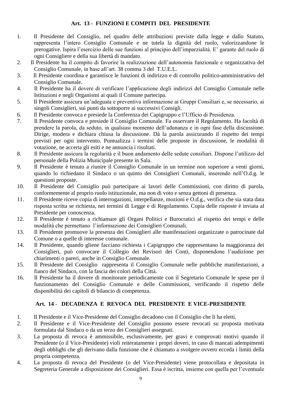#### **Art. 13 - FUNZIONI E COMPITI DEL PRESIDENTE**

- <span id="page-8-0"></span>1. Il Presidente del Consiglio, nel quadro delle attribuzioni previste dalla legge e dallo Statuto, rappresenta l'intero Consiglio Comunale e ne tutela la dignità del ruolo, valorizzandone le prerogative. Ispira l'esercizio delle sue funzioni al principio dell'imparzialità. E' garante del ruolo di ogni Consigliere e della sua libertà di mandato.
- 2. Il Presidente ha il compito di favorire la realizzazione dell'autonomia funzionale e organizzativa del Consiglio Comunale, in base all'art. 38 comma 3 del T.U.E.L.
- 3. Il Presidente coordina e garantisce le funzioni di indirizzo e di controllo politico-amministrativo del Consiglio Comunale.
- 4. Il Presidente ha il dovere di verificare l'applicazione degli indirizzi del Consiglio Comunale nelle Istituzioni e negli Organismi ai quali il Comune partecipa.
- 5. Il Presidente assicura un'adeguata e preventiva informazione ai Gruppi Consiliari e, se necessario, ai singoli Consiglieri, sui punti da sottoporre ai successivi Consigli.
- 6. Il Presidente convoca e presiede la Conferenza dei Capigruppo e l'Ufficio di Presidenza.
- 7. Il Presidente convoca e presiede il Consiglio Comunale. Fa osservare il Regolamento. Ha facoltà di prendere la parola, da seduto, in qualsiasi momento dell'adunanza e in ogni fase della discussione. Dirige, modera e dichiara chiusa la discussione. Dà la parola assicurando il rispetto dei tempi previsti per ogni intervento. Puntualizza i termini delle proposte in discussione, le modalità di votazione, ne accerta gli esiti e ne annuncia i risultati.
- 8. Il Presidente assicura la regolarità e il buon andamento delle sedute consiliari. Dispone l'utilizzo del personale della Polizia Municipale presente in Sala.
- 9. Il Presidente è tenuto a riunire il Consiglio Comunale in un termine non superiore a venti giorni, quando lo richiedano il Sindaco o un quinto dei Consiglieri Comunali, inserendo nell'O.d.g. le questioni proposte.
- 10. Il Presidente del Consiglio può partecipare ai lavori delle Commissioni, con diritto di parola, conformemente al proprio ruolo istituzionale, ma non di voto e senza gettoni di presenza.
- 11. Il Presidente riceve copia di interrogazioni, interpellanze, mozioni e O.d.g., verifica che sia stata data risposta scritta se richiesta, nei termini di Legge e di Regolamento. Copia delle risposte è inviata al Presidente per conoscenza.
- 12. Il Presidente è tenuto a richiamare gli Organi Politici e Burocratici al rispetto dei tempi e delle modalità che permettano l'informazione dei Consiglieri Comunali.
- 13. Il Presidente promuove la presenza dei Consiglieri alle manifestazioni organizzate o patrocinate dal Comune o a quelle di interesse comunale.
- 14. Il Presidente, quando gliene facciano richiesta i Capigruppo che rappresentano la maggioranza dei Consiglieri, può convocare il Collegio dei Revisori dei Conti, disponendone l'audizione per chiarimenti o pareri, anche in Consiglio Comunale.
- 15. Il Presidente del Consiglio rappresenta il Consiglio Comunale nelle pubbliche manifestazioni, a fianco del Sindaco, con la fascia dei colori della Città.
- 16. Il Presidente ha il dovere di monitorare periodicamente con il Segretario Comunale le spese per il funzionamento del Consiglio Comunale e delle Commissioni, verificando il rispetto delle disponibilità dei capitoli di bilancio di competenza.

#### **Art. 14** - **DECADENZA E REVOCA DEL PRESIDENTE E VICE-PRESIDENTE**

- <span id="page-8-1"></span>1. Il Presidente e il Vice-Presidente del Consiglio decadono con il Consiglio che li ha eletti.
- 2. Il Presidente e il Vice-Presidente del Consiglio possono essere revocati su proposta motivata formulata dal Sindaco o da un terzo dei Consiglieri assegnati.
- 3. La proposta di revoca è ammissibile, esclusivamente, per gravi e comprovati motivi quando il Presidente (o il Vice-Presidente) violi reiteratamente i propri doveri, in caso di mancati adempimenti degli obblighi che gli derivano dalla funzione che è chiamato a svolgere ovvero ecceda i limiti della propria competenza.
- 4. La proposta di revoca del Presidente (o del Vice-Presidente) viene protocollata e depositata in Segreteria Generale a disposizione dei Consiglieri. Essa è iscritta, insieme con quella per l'eventuale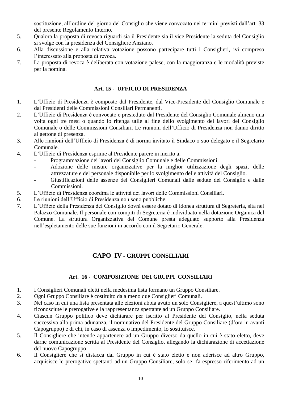sostituzione, all'ordine del giorno del Consiglio che viene convocato nei termini previsti dall'art. 33 del presente Regolamento Interno.

- 5. Qualora la proposta di revoca riguardi sia il Presidente sia il vice Presidente la seduta del Consiglio si svolge con la presidenza del Consigliere Anziano.
- 6. Alla discussione e alla relativa votazione possono partecipare tutti i Consiglieri, ivi compreso l'interessato alla proposta di revoca.
- 7. La proposta di revoca è deliberata con votazione palese, con la maggioranza e le modalità previste per la nomina.

#### **Art. 15 - UFFICIO DI PRESIDENZA**

- <span id="page-9-0"></span>1. L'Ufficio di Presidenza è composto dal Presidente, dal Vice-Presidente del Consiglio Comunale e dai Presidenti delle Commissioni Consiliari Permanenti.
- 2. L'Ufficio di Presidenza è convocato e presieduto dal Presidente del Consiglio Comunale almeno una volta ogni tre mesi o quando lo ritenga utile al fine dello svolgimento dei lavori del Consiglio Comunale o delle Commissioni Consiliari. Le riunioni dell'Ufficio di Presidenza non danno diritto al gettone di presenza.
- 3. Alle riunioni dell'Ufficio di Presidenza è di norma invitato il Sindaco o suo delegato e il Segretario Comunale.
- 4. L'Ufficio di Presidenza esprime al Presidente parere in merito a:
	- Programmazione dei lavori del Consiglio Comunale e delle Commissioni.
	- Adozione delle misure organizzative per la miglior utilizzazione degli spazi, delle attrezzature e del personale disponibile per lo svolgimento delle attività del Consiglio.
	- Giustificazioni delle assenze dei Consiglieri Comunali dalle sedute del Consiglio e dalle Commissioni.
- 5. L'Ufficio di Presidenza coordina le attività dei lavori delle Commissioni Consiliari.
- 6. Le riunioni dell'Ufficio di Presidenza non sono pubbliche.
- 7. L'Ufficio della Presidenza del Consiglio dovrà essere dotato di idonea struttura di Segreteria, sita nel Palazzo Comunale. Il personale con compiti di Segreteria è individuato nella dotazione Organica del Comune. La struttura Organizzativa del Comune presta adeguato supporto alla Presidenza nell'espletamento delle sue funzioni in accordo con il Segretario Generale.

#### **CAPO IV - GRUPPI CONSILIARI**

#### **Art. 16 - COMPOSIZIONE DEI GRUPPI CONSILIARI**

- <span id="page-9-2"></span><span id="page-9-1"></span>1. I Consiglieri Comunali eletti nella medesima lista formano un Gruppo Consiliare.
- 2. Ogni Gruppo Consiliare è costituito da almeno due Consiglieri Comunali.
- 3. Nel caso in cui una lista presentata alle elezioni abbia avuto un solo Consigliere, a quest'ultimo sono riconosciute le prerogative e la rappresentanza spettante ad un Gruppo Consiliare.
- 4. Ciascun Gruppo politico deve dichiarare per iscritto al Presidente del Consiglio, nella seduta successiva alla prima adunanza, il nominativo del Presidente del Gruppo Consiliare (d'ora in avanti Capogruppo) e di chi, in caso di assenza o impedimento, lo sostituisce.
- 5. Il Consigliere che intende appartenere ad un Gruppo diverso da quello in cui è stato eletto, deve darne comunicazione scritta al Presidente del Consiglio, allegando la dichiarazione di accettazione del nuovo Capogruppo.
- 6. Il Consigliere che si distacca dal Gruppo in cui è stato eletto e non aderisce ad altro Gruppo, acquisisce le prerogative spettanti ad un Gruppo Consiliare, solo se fa espresso riferimento ad un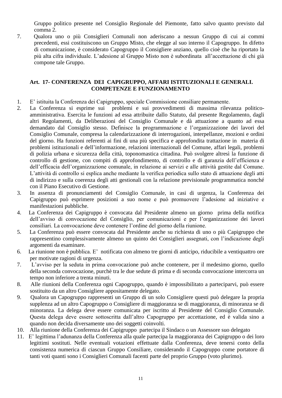Gruppo politico presente nel Consiglio Regionale del Piemonte, fatto salvo quanto previsto dal comma 2.

7. Qualora uno o più Consiglieri Comunali non aderiscano a nessun Gruppo di cui ai commi precedenti, essi costituiscono un Gruppo Misto, che elegge al suo interno il Capogruppo. In difetto di comunicazione, è considerato Capogruppo il Consigliere anziano, quello cioè che ha riportato la più alta cifra individuale. L'adesione al Gruppo Misto non è subordinata all'accettazione di chi già compone tale Gruppo.

#### <span id="page-10-0"></span>**Art. 17- CONFERENZA DEI CAPIGRUPPO, AFFARI ISTITUZIONALI E GENERALI. COMPETENZE E FUNZIONAMENTO**

- 1. E' istituita la Conferenza dei Capigruppo, speciale Commissione consiliare permanente.
- 2. La Conferenza si esprime sui problemi e sui provvedimenti di massima rilevanza politicoamministrativa. Esercita le funzioni ad essa attribuite dallo Statuto, dal presente Regolamento, dagli altri Regolamenti, da Deliberazioni del Consiglio Comunale e dà attuazione a quanto ad essa demandato dal Consiglio stesso. Definisce la programmazione e l'organizzazione dei lavori del Consiglio Comunale, compresa la calendarizzazione di interrogazioni, interpellanze, mozioni e ordini del giorno. Ha funzioni referenti ai fini di una più specifica e approfondita trattazione in materia di problemi istituzionali e dell'informazione, relazioni internazionali del Comune, affari legali, problemi di polizia urbana e sicurezza della città, toponomastica cittadina. Può svolgere altresì la funzione di controllo di gestione, con compiti di approfondimento, di controllo e di garanzia dell'efficienza e dell'efficacia dell'organizzazione comunale, in relazione ai servizi e alle attività gestite dal Comune. L'attività di controllo si esplica anche mediante la verifica periodica sullo stato di attuazione degli atti di indirizzo e sulla coerenza degli atti gestionali con la relazione previsionale programmatica nonché con il Piano Esecutivo di Gestione.
- 3. In assenza di pronunciamenti del Consiglio Comunale, in casi di urgenza, la Conferenza dei Capigruppo può esprimere posizioni a suo nome e può promuovere l'adesione ad iniziative e manifestazioni pubbliche.
- 4. La Conferenza dei Capigruppo è convocata dal Presidente almeno un giorno prima della notifica dell'avviso di convocazione del Consiglio, per comunicazioni e per l'organizzazione dei lavori consiliari. La convocazione deve contenere l'ordine del giorno della riunione.
- 5. La Conferenza può essere convocata dal Presidente anche su richiesta di uno o più Capigruppo che rappresentino complessivamente almeno un quinto dei Consiglieri assegnati, con l'indicazione degli argomenti da esaminare.
- 6. La riunione non è pubblica. E' notificata con almeno tre giorni di anticipo, riducibile a ventiquattro ore per motivate ragioni di urgenza.
- 7. L'avviso per la seduta in prima convocazione può anche contenere, per il medesimo giorno, quello della seconda convocazione, purchè tra le due sedute di prima e di seconda convocazione intercorra un tempo non inferiore a trenta minuti.
- 8. Alle riunioni della Conferenza ogni Capogruppo, quando è impossibilitato a parteciparvi, può essere sostituito da un altro Consigliere appositamente delegato.
- 9. Qualora un Capogruppo rappresenti un Gruppo di un solo Consigliere questi può delegare la propria supplenza ad un altro Capogruppo o Consigliere di maggioranza se di maggioranza, di minoranza se di minoranza. La delega deve essere comunicata per iscritto al Presidente del Consiglio Comunale. Questa delega deve essere sottoscritta dall'altro Capogruppo per accettazione, ed è valida sino a quando non decida diversamente uno dei soggetti coinvolti.
- 10. Alla riunione della Conferenza dei Capigruppo partecipa il Sindaco o un Assessore suo delegato
- 11. E' legittima l'adunanza della Conferenza alla quale partecipa la maggioranza dei Capigruppo o dei loro legittimi sostituti. Nelle eventuali votazioni effettuate dalla Conferenza, deve tenersi conto della consistenza numerica di ciascun Gruppo Consiliare, considerando il Capogruppo come portatore di tanti voti quanti sono i Consiglieri Comunali facenti parte del proprio Gruppo (voto plurimo).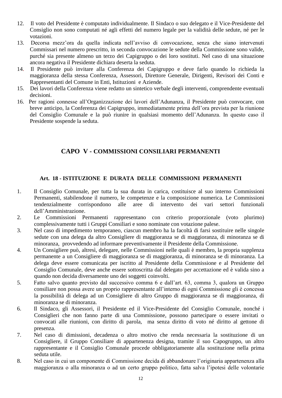- 12. Il voto del Presidente è computato individualmente. Il Sindaco o suo delegato e il Vice-Presidente del Consiglio non sono computati né agli effetti del numero legale per la validità delle sedute, né per le votazioni.
- 13. Decorsa mezz'ora da quella indicata nell'avviso di convocazione, senza che siano intervenuti Commissari nel numero prescritto, in seconda convocazione le sedute della Commissione sono valide, purché sia presente almeno un terzo dei Capigruppo o dei loro sostituti. Nel caso di una situazione ancora negativa il Presidente dichiara deserta la seduta.
- 14. Il Presidente può invitare alla Conferenza dei Capigruppo e deve farlo quando lo richieda la maggioranza della stessa Conferenza, Assessori, Direttore Generale, Dirigenti, Revisori dei Conti e Rappresentanti del Comune in Enti, Istituzioni e Aziende.
- 15. Dei lavori della Conferenza viene redatto un sintetico verbale degli interventi, comprendente eventuali decisioni.
- 16. Per ragioni connesse all'Organizzazione dei lavori dell'Adunanza, il Presidente può convocare, con breve anticipo, la Conferenza dei Capigruppo, immediatamente prima dell'ora prevista per la riunione del Consiglio Comunale e la può riunire in qualsiasi momento dell'Adunanza. In questo caso il Presidente sospende la seduta.

#### **CAPO V - COMMISSIONI CONSILIARI PERMANENTI**

#### <span id="page-11-0"></span>**Art. 18 - ISTITUZIONE E DURATA DELLE COMMISSIONI PERMANENTI**

- <span id="page-11-1"></span>1. Il Consiglio Comunale, per tutta la sua durata in carica, costituisce al suo interno Commissioni Permanenti, stabilendone il numero, le competenze e la composizione numerica. Le Commissioni tendenzialmente corrispondono alle aree di intervento dei vari settori funzionali dell'Amministrazione.
- 2. Le Commissioni Permanenti rappresentano con criterio proporzionale (voto plurimo) complessivamente tutti i Gruppi Consiliari e sono nominate con votazione palese.
- 3. Nel caso di impedimento temporaneo, ciascun membro ha la facoltà di farsi sostituire nelle singole sedute con una delega da altro Consigliere di maggioranza se di maggioranza, di minoranza se di minoranza, provvedendo ad informare preventivamente il Presidente della Commissione.
- 4. Un Consigliere può, altresì, delegare, nelle Commissioni nelle quali è membro, la propria supplenza permanente a un Consigliere di maggioranza se di maggioranza, di minoranza se di minoranza. La delega deve essere comunicata per iscritto al Presidente della Commissione e al Presidente del Consiglio Comunale, deve anche essere sottoscritta dal delegato per accettazione ed è valida sino a quando non decida diversamente uno dei soggetti coinvolti.
- 5. Fatto salvo quanto previsto dal successivo comma 6 e dall'art. 63, comma 3, qualora un Gruppo consiliare non possa avere un proprio rappresentante all'interno di ogni Commissione gli è concessa la possibilità di delega ad un Consigliere di altro Gruppo di maggioranza se di maggioranza, di minoranza se di minoranza.
- 6. Il Sindaco, gli Assessori, il Presidente ed il Vice-Presidente del Consiglio Comunale, nonché i Consiglieri che non fanno parte di una Commissione, possono partecipare o essere invitati o convocati alle riunioni, con diritto di parola, ma senza diritto di voto né diritto al gettone di presenza.
- 7. Nel caso di dimissioni, decadenza o altro motivo che renda necessaria la sostituzione di un Consigliere, il Gruppo Consiliare di appartenenza designa, tramite il suo Capogruppo, un altro rappresentante e il Consiglio Comunale procede obbligatoriamente alla sostituzione nella prima seduta utile.
- 8. Nel caso in cui un componente di Commissione decida di abbandonare l'originaria appartenenza alla maggioranza o alla minoranza o ad un certo gruppo politico, fatta salva l'ipotesi delle volontarie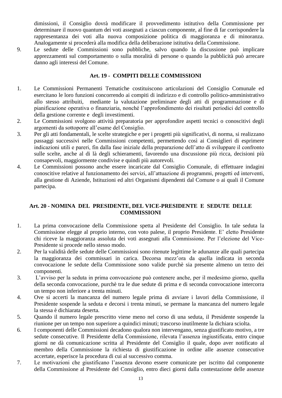dimissioni, il Consiglio dovrà modificare il provvedimento istitutivo della Commissione per determinare il nuovo quantum dei voti assegnati a ciascun componente, al fine di far corrispondere la rappresentanza dei voti alla nuova composizione politica di maggioranza e di minoranza. Analogamente si procederà alla modifica della deliberazione istitutiva della Commissione.

9. Le sedute delle Commissioni sono pubbliche, salvo quando la discussione può implicare apprezzamenti sul comportamento o sulla moralità di persone o quando la pubblicità può arrecare danno agli interessi del Comune.

#### <span id="page-12-0"></span> **Art. 19 - COMPITI DELLE COMMISSIONI**

- 1. Le Commissioni Permanenti Tematiche costituiscono articolazioni del Consiglio Comunale ed esercitano le loro funzioni concorrendo ai compiti di indirizzo e di controllo politico-amministrativo allo stesso attribuiti, mediante la valutazione preliminare degli atti di programmazione e di pianificazione operativa o finanziaria, nonché l'approfondimento dei risultati periodici del controllo della gestione corrente e degli investimenti.
- 2. Le Commissioni svolgono attività preparatoria per approfondire aspetti tecnici o conoscitivi degli argomenti da sottoporre all'esame del Consiglio.
- 3. Per gli atti fondamentali, le scelte strategiche e per i progetti più significativi, di norma, si realizzano passaggi successivi nelle Commissioni competenti, permettendo così ai Consiglieri di esprimere indicazioni utili e pareri, fin dalla fase iniziale della preparazione dell'atto di sviluppare il confronto sulle scelte, anche al di là degli schieramenti, favorendo una discussione più ricca, decisioni più consapevoli, maggiormente condivise e quindi più autorevoli.
- 4. Le Commissioni possono anche essere incaricate dal Consiglio Comunale, di effettuare indagini conoscitive relative al funzionamento dei servizi, all'attuazione di programmi, progetti ed interventi, alla gestione di Aziende, Istituzioni ed altri Organismi dipendenti dal Comune o ai quali il Comune partecipa.

#### <span id="page-12-1"></span>**Art. 20 - NOMINA DEL PRESIDENTE, DEL VICE-PRESIDENTE E SEDUTE DELLE COMMISSIONI**

- 1. La prima convocazione della Commissione spetta al Presidente del Consiglio. In tale seduta la Commissione elegge al proprio interno, con voto palese, il proprio Presidente. E' eletto Presidente chi riceve la maggioranza assoluta dei voti assegnati alla Commissione. Per l'elezione del Vice-Presidente si procede nello stesso modo.
- 2. Per la validità delle sedute delle Commissioni sono ritenute legittime le adunanze alle quali partecipa la maggioranza dei commissari in carica. Decorsa mezz'ora da quella indicata in seconda convocazione le sedute della Commissione sono valide purchè sia presente almeno un terzo dei componenti.
- 3. L'avviso per la seduta in prima convocazione può contenere anche, per il medesimo giorno, quella della seconda convocazione, purchè tra le due sedute di prima e di seconda convocazione intercorra un tempo non inferiore a trenta minuti.
- 4. Ove si accerti la mancanza del numero legale prima di avviare i lavori della Commissione, il Presidente sospende la seduta e decorsi i trenta minuti, se permane la mancanza del numero legale la stessa è dichiarata deserta.
- 5. Quando il numero legale prescritto viene meno nel corso di una seduta, il Presidente sospende la riunione per un tempo non superiore a quindici minuti; trascorso inutilmente la dichiara sciolta.
- 6. I componenti delle Commissioni decadono qualora non intervengano, senza giustificato motivo, a tre sedute consecutive. Il Presidente della Commissione, rilevata l'assenza ingiustificata, entro cinque giorni ne dà comunicazione scritta al Presidente del Consiglio il quale, dopo aver notificato al membro della Commissione la richiesta di giustificazione in ordine alle assenze consecutive accertate, esperisce la procedura di cui al successivo comma.
- 7. Le motivazioni che giustificano l'assenza devono essere comunicate per iscritto dal componente della Commissione al Presidente del Consiglio, entro dieci giorni dalla contestazione delle assenze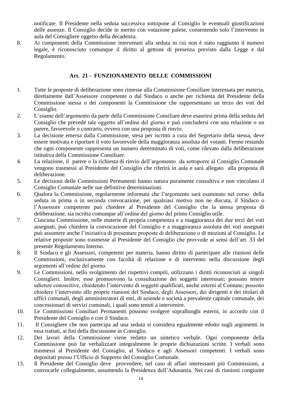notificate. Il Presidente nella seduta successiva sottopone al Consiglio le eventuali giustificazioni delle assenze. Il Consiglio decide in merito con votazione palese, consentendo solo l'intervento in aula del Consigliere oggetto della decadenza.

8. Ai componenti della Commissione intervenuti alla seduta in cui non è stato raggiunto il numero legale, è riconosciuto comunque il diritto al gettone di presenza previsto dalla Legge e dal Regolamento.

#### **Art. 21 - FUNZIONAMENTO DELLE COMMISSIONI**

- <span id="page-13-0"></span>1. Tutte le proposte di deliberazione sono rimesse alla Commissione Consiliare interessata per materia, direttamente dall'Assessore competente o dal Sindaco o anche per richiesta del Presidente della Commissione stessa o dei componenti la Commissione che rappresentano un terzo dei voti del Consiglio.
- 2. L'esame dell'argomento da parte della Commissione Consiliare deve esaurirsi prima della seduta del Consiglio che prevede tale oggetto all'ordine del giorno e può concludersi con una relazione o un parere, favorevole o contrario, ovvero con una proposta di rinvio.
- 3. La decisione emersa dalla Commissione, stesa per iscritto a cura del Segretario della stessa, deve essere motivata e riportare il voto favorevole della maggioranza assoluta dei votanti. Fermo restando che ogni componente rappresenta un numero determinato di voti, come rilevato dalla deliberazione istitutiva della Commissione Consiliare.
- 4. La relazione, il parere o la richiesta di rinvio dell'argomento da sottoporre al Consiglio Comunale vengono trasmessi al Presidente del Consiglio che riferirà in aula e sarà allegato alla proposta di deliberazione.
- 5. Le decisioni delle Commissioni Permanenti hanno natura puramente consultiva e non vincolano il Consiglio Comunale nelle sue definitive determinazioni.
- 6. Qualora la Commissione, regolarmente informata che l'argomento sarà esaminato nel corso della seduta in prima o in seconda convocazione, per qualsiasi motivo non ne discuta, il Sindaco o l'Assessore competente può chiedere al Presidente del Consiglio che la stessa proposta di deliberazione, sia iscritta comunque all'ordine del giorno del primo Consiglio utile.
- 7. Ciascuna Commissione, nelle materie di propria competenza e a maggioranza dei due terzi dei voti assegnati, può chiedere la convocazione del Consiglio e a maggioranza assoluta dei voti assegnati può assumere anche l'iniziativa di presentare proposte di deliberazione o di mozioni al Consiglio. Le relative proposte sono trasmesse al Presidente del Consiglio che provvede ai sensi dell'art. 33 del presente Regolamento Interno.
- 8. Il Sindaco e gli Assessori, competenti per materia, hanno diritto di partecipare alle riunioni delle Commissioni, esclusivamente con facoltà di relazione e di intervento nella discussione degli argomenti all'ordine del giorno.
- 9. Le Commissioni, nello svolgimento dei rispettivi compiti, utilizzano i diritti riconosciuti ai singoli Consiglieri. Inoltre, esse promuovono la consultazione dei soggetti interessati; possono tenere udienze conoscitive, chiedendo l'intervento di soggetti qualificati, anche esterni al Comune; possono chiedere l'intervento alle proprie riunioni del Sindaco, degli Assessori, dei dirigenti e dei titolari di uffici comunali, degli amministratori di enti, di aziende e società a prevalente capitale comunale, dei concessionari di servizi comunali, i quali sono tenuti a intervenire.
- 10. Le Commissioni Consiliari Permanenti possono svolgere sopralluoghi esterni, in accordo con il Presidente del Consiglio e con il Sindaco.
- 11. Il Consigliere che non partecipa ad una seduta si considera egualmente edotto sugli argomenti in essa trattati, ai fini della discussione in Consiglio.
- 12. Dei lavori della Commissione viene redatto un sintetico verbale. Ogni componente della Commissione può far verbalizzare integralmente le proprie dichiarazioni scritte. I verbali sono trasmessi al Presidente del Consiglio, al Sindaco e agli Assessori competenti. I verbali sono depositati presso l'Ufficio di Supporto del Consiglio Comunale.
- 13. Il Presidente del Consiglio deve provvedere, nel caso di affari interessanti più Commissioni, a convocarle collegialmente, assumendo la Presidenza dell'Adunanza. Nei casi di riunioni congiunte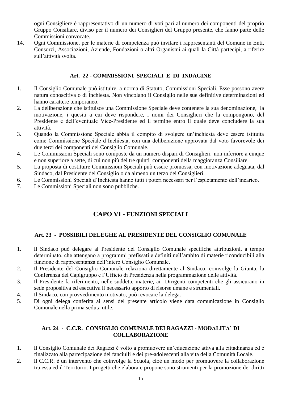ogni Consigliere è rappresentativo di un numero di voti pari al numero dei componenti del proprio Gruppo Consiliare, diviso per il numero dei Consiglieri del Gruppo presente, che fanno parte delle Commissioni convocate.

14. Ogni Commissione, per le materie di competenza può invitare i rappresentanti del Comune in Enti, Consorzi, Associazioni, Aziende, Fondazioni o altri Organismi ai quali la Città partecipi, a riferire sull'attività svolta.

#### **Art. 22 - COMMISSIONI SPECIALI E DI INDAGINE**

- <span id="page-14-0"></span>1. Il Consiglio Comunale può istituire, a norma di Statuto, Commissioni Speciali. Esse possono avere natura conoscitiva o di inchiesta. Non vincolano il Consiglio nelle sue definitive determinazioni ed hanno carattere temporaneo.
- 2. La deliberazione che istituisce una Commissione Speciale deve contenere la sua denominazione, la motivazione, i quesiti a cui deve rispondere, i nomi dei Consiglieri che la compongono, del Presidente e dell'eventuale Vice-Presidente ed il termine entro il quale deve concludere la sua attività.
- 3. Quando la Commissione Speciale abbia il compito di svolgere un'inchiesta deve essere istituita come Commissione Speciale d'Inchiesta, con una deliberazione approvata dal voto favorevole dei due terzi dei componenti del Consiglio Comunale.
- 4. Le Commissioni Speciali sono composte da un numero dispari di Consiglieri non inferiore a cinque e non superiore a sette, di cui non più dei tre quinti componenti della maggioranza Consiliare.
- 5. La proposta di costituire Commissioni Speciali può essere promossa, con motivazione adeguata, dal Sindaco, dal Presidente del Consiglio o da almeno un terzo dei Consiglieri.
- 6. Le Commissioni Speciali d'Inchiesta hanno tutti i poteri necessari per l'espletamento dell'incarico.
- <span id="page-14-1"></span>7. Le Commissioni Speciali non sono pubbliche.

#### **CAPO VI - FUNZIONI SPECIALI**

#### **Art. 23 - POSSIBILI DELEGHE AL PRESIDENTE DEL CONSIGLIO COMUNALE**

- <span id="page-14-2"></span>1. Il Sindaco può delegare al Presidente del Consiglio Comunale specifiche attribuzioni, a tempo determinato, che attengano a programmi prefissati e definiti nell'ambito di materie riconducibili alla funzione di rappresentanza dell'intero Consiglio Comunale.
- 2. Il Presidente del Consiglio Comunale relaziona direttamente al Sindaco, coinvolge la Giunta, la Conferenza dei Capigruppo e l'Ufficio di Presidenza nella programmazione delle attività.
- 3. Il Presidente fa riferimento, nelle suddette materie, ai Dirigenti competenti che gli assicurano in sede propositiva ed esecutiva il necessario apporto di risorse umane e strumentali.
- 4. Il Sindaco, con provvedimento motivato, può revocare la delega.
- 5. Di ogni delega conferita ai sensi del presente articolo viene data comunicazione in Consiglio Comunale nella prima seduta utile.

#### **Art. 24 - C.C.R. CONSIGLIO COMUNALE DEI RAGAZZI - MODALITA' DI COLLABORAZIONE**

- <span id="page-14-3"></span>1. Il Consiglio Comunale dei Ragazzi è volto a promuovere un'educazione attiva alla cittadinanza ed è finalizzato alla partecipazione dei fanciulli e dei pre-adolescenti alla vita della Comunità Locale.
- 2. Il C.C.R. è un intervento che coinvolge la Scuola, cioè un modo per promuovere la collaborazione tra essa ed il Territorio. I progetti che elabora e propone sono strumenti per la promozione dei diritti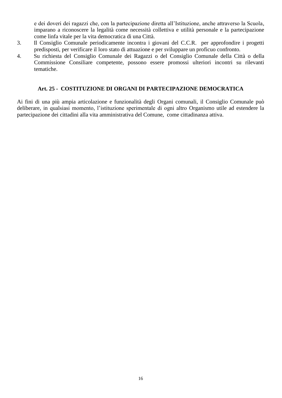e dei doveri dei ragazzi che, con la partecipazione diretta all'Istituzione, anche attraverso la Scuola, imparano a riconoscere la legalità come necessità collettiva e utilità personale e la partecipazione come linfa vitale per la vita democratica di una Città.

- 3. Il Consiglio Comunale periodicamente incontra i giovani del C.C.R. per approfondire i progetti predisposti, per verificare il loro stato di attuazione e per sviluppare un proficuo confronto.
- 4. Su richiesta del Consiglio Comunale dei Ragazzi o del Consiglio Comunale della Città o della Commissione Consiliare competente, possono essere promossi ulteriori incontri su rilevanti tematiche.

#### **Art. 25 - COSTITUZIONE DI ORGANI DI PARTECIPAZIONE DEMOCRATICA**

<span id="page-15-0"></span>Ai fini di una più ampia articolazione e funzionalità degli Organi comunali, il Consiglio Comunale può deliberare, in qualsiasi momento, l'istituzione sperimentale di ogni altro Organismo utile ad estendere la partecipazione dei cittadini alla vita amministrativa del Comune, come cittadinanza attiva.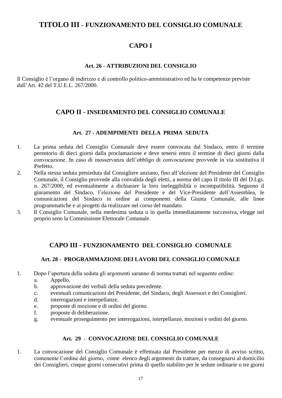#### <span id="page-16-1"></span><span id="page-16-0"></span>**TITOLO III - FUNZIONAMENTO DEL CONSIGLIO COMUNALE**

#### **CAPO I**

#### **Art. 26 - ATTRIBUZIONI DEL CONSIGLIO**

<span id="page-16-3"></span><span id="page-16-2"></span>Il Consiglio è l'organo di indirizzo e di controllo politico-amministrativo ed ha le competenze previste dall'Art. 42 del T.U.E.L. 267/2000.

#### **CAPO II - INSEDIAMENTO DEL CONSIGLIO COMUNALE**

#### **Art. 27 - ADEMPIMENTI DELLA PRIMA SEDUTA**

- <span id="page-16-4"></span>1. La prima seduta del Consiglio Comunale deve essere convocata dal Sindaco, entro il termine perentorio di dieci giorni dalla proclamazione e deve tenersi entro il termine di dieci giorni dalla convocazione. In caso di inosservanza dell'obbligo di convocazione provvede in via sostitutiva il Prefetto.
- 2. Nella stessa seduta presieduta dal Consigliere anziano, fino all'elezione del Presidente del Consiglio Comunale, il Consiglio provvede alla convalida degli eletti, a norma del capo II titolo III del D.Lgs. n. 267/2000, ed eventualmente a dichiarare la loro ineleggibilità o incompatibilità. Seguono il giuramento del Sindaco, l'elezione del Presidente e del Vice-Presidente dell'Assemblea, le comunicazioni del Sindaco in ordine ai componenti della Giunta Comunale, alle linee programmatiche e ai progetti da realizzare nel corso del mandato.
- 3. Il Consiglio Comunale, nella medesima seduta o in quella immediatamente successiva, elegge nel proprio seno la Commissione Elettorale Comunale.

#### **CAPO III - FUNZIONAMENTO DEL CONSIGLIO COMUNALE**

#### <span id="page-16-5"></span>**Art. 28 - PROGRAMMAZIONE DEI LAVORI DEL CONSIGLIO COMUNALE**

- <span id="page-16-6"></span>1. Dopo l'apertura della seduta gli argomenti saranno di norma trattati nel seguente ordine:
	- a. Appello.
	- b. approvazione dei verbali della seduta precedente.
	- c. eventuali comunicazioni del Presidente, del Sindaco, degli Assessori e dei Consiglieri.
	- d. interrogazioni e interpellanze.
	- e. proposte di mozione e di ordini del giorno.
	- f. proposte di deliberazione.
	- g. eventuale proseguimento per interrogazioni, interpellanze, mozioni e ordini del giorno.

#### **Art. 29** - **CONVOCAZIONE DEL CONSIGLIO COMUNALE**

<span id="page-16-7"></span>1. La convocazione del Consiglio Comunale è effettuata dal Presidente per mezzo di avviso scritto, contenente l'ordine del giorno, come elenco degli argomenti da trattare, da consegnarsi al domicilio dei Consiglieri, cinque giorni consecutivi prima di quello stabilito per le sedute ordinarie o tre giorni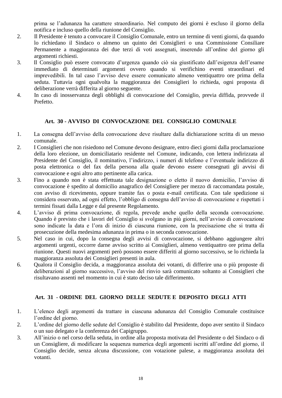prima se l'adunanza ha carattere straordinario*.* Nel computo dei giorni è escluso il giorno della notifica e incluso quello della riunione del Consiglio.

- 2. Il Presidente è tenuto a convocare il Consiglio Comunale, entro un termine di venti giorni, da quando lo richiedano il Sindaco o almeno un quinto dei Consiglieri o una Commissione Consiliare Permanente a maggioranza dei due terzi di voti assegnati, inserendo all'ordine del giorno gli argomenti richiesti.
- 3. Il Consiglio può essere convocato d'urgenza quando ciò sia giustificato dall'esigenza dell'esame immediato di determinati argomenti ovvero quando si verifichino eventi straordinari ed imprevedibili. In tal caso l'avviso deve essere comunicato almeno ventiquattro ore prima della seduta. Tuttavia ogni qualvolta la maggioranza dei Consiglieri lo richieda, ogni proposta di deliberazione verrà differita al giorno seguente.
- 4. In caso di inosservanza degli obblighi di convocazione del Consiglio, previa diffida, provvede il Prefetto.

#### **Art. 30 - AVVISO DI CONVOCAZIONE DEL CONSIGLIO COMUNALE**

- <span id="page-17-0"></span>1. La consegna dell'avviso della convocazione deve risultare dalla dichiarazione scritta di un messo comunale.
- 2. I Consiglieri che non risiedono nel Comune devono designare, entro dieci giorni dalla proclamazione della loro elezione, un domiciliatario residente nel Comune, indicando, con lettera indirizzata al Presidente del Consiglio, il nominativo, l'indirizzo, i numeri di telefono e l'eventuale indirizzo di posta elettronica o del fax della persona alla quale devono essere consegnati gli avvisi di convocazione e ogni altro atto pertinente alla carica.
- 3. Fino a quando non è stata effettuata tale designazione o eletto il nuovo domicilio, l'avviso di convocazione è spedito al domicilio anagrafico del Consigliere per mezzo di raccomandata postale, con avviso di ricevimento, oppure tramite fax o posta e-mail certificata. Con tale spedizione si considera osservato, ad ogni effetto, l'obbligo di consegna dell'avviso di convocazione e rispettati i termini fissati dalla Legge e dal presente Regolamento.
- 4. L'avviso di prima convocazione, di regola, prevede anche quello della seconda convocazione. Quando è previsto che i lavori del Consiglio si svolgano in più giorni, nell'avviso di convocazione sono indicate la data e l'ora di inizio di ciascuna riunione, con la precisazione che si tratta di prosecuzione della medesima adunanza in prima o in seconda convocazione.
- 5. Nel caso in cui, dopo la consegna degli avvisi di convocazione, si debbano aggiungere altri argomenti urgenti, occorre darne avviso scritto ai Consiglieri, almeno ventiquattro ore prima della riunione. Questi nuovi argomenti però possono essere differiti al giorno successivo, se lo richieda la maggioranza assoluta dei Consiglieri presenti in aula.
- 6. Qualora il Consiglio decida, a maggioranza assoluta dei votanti, di differire una o più proposte di deliberazioni al giorno successivo, l'avviso del rinvio sarà comunicato soltanto ai Consiglieri che risultavano assenti nel momento in cui è stato deciso tale differimento.

#### **Art. 31** - **ORDINE DEL GIORNO DELLE SEDUTE E DEPOSITO DEGLI ATTI**

- <span id="page-17-1"></span>1. L'elenco degli argomenti da trattare in ciascuna adunanza del Consiglio Comunale costituisce l'ordine del giorno.
- 2. L'ordine del giorno delle sedute del Consiglio è stabilito dal Presidente, dopo aver sentito il Sindaco o un suo delegato e la conferenza dei Capigruppo.
- 3. All'inizio o nel corso della seduta, in ordine alla proposta motivata del Presidente o del Sindaco o di un Consigliere, di modificare la sequenza numerica degli argomenti iscritti all'ordine del giorno, il Consiglio decide, senza alcuna discussione, con votazione palese, a maggioranza assoluta dei votanti.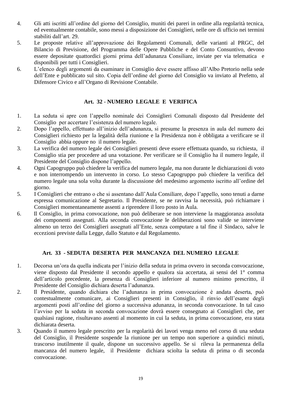- 4. Gli atti iscritti all'ordine del giorno del Consiglio, muniti dei pareri in ordine alla regolarità tecnica, ed eventualmente contabile, sono messi a disposizione dei Consiglieri, nelle ore di ufficio nei termini stabiliti dall'art. 29.
- 5. Le proposte relative all'approvazione dei Regolamenti Comunali, delle varianti al PRGC, del Bilancio di Previsione, del Programma delle Opere Pubbliche e del Conto Consuntivo, devono essere depositate quattordici giorni prima dell'adunanza Consiliare, inviate per via telematica e disponibili per tutti i Consiglieri.
- 6. L'elenco degli argomenti da esaminare in Consiglio deve essere affisso all'Albo Pretorio nella sede dell'Ente e pubblicato sul sito. Copia dell'ordine del giorno del Consiglio va inviato al Prefetto, al Difensore Civico e all'Organo di Revisione Contabile.

#### **Art. 32** - **NUMERO LEGALE E VERIFICA**

- <span id="page-18-0"></span>1. La seduta si apre con l'appello nominale dei Consiglieri Comunali disposto dal Presidente del Consiglio per accertare l'esistenza del numero legale.
- 2. Dopo l'appello, effettuato all'inizio dell'adunanza, si presume la presenza in aula del numero dei Consiglieri richiesto per la legalità della riunione e la Presidenza non è obbligata a verificare se il Consiglio abbia oppure no il numero legale.
- 3. La verifica del numero legale dei Consiglieri presenti deve essere effettuata quando, su richiesta, il Consiglio stia per procedere ad una votazione. Per verificare se il Consiglio ha il numero legale, il Presidente del Consiglio dispone l'appello.
- 4. Ogni Capogruppo può chiedere la verifica del numero legale, ma non durante le dichiarazioni di voto e non interrompendo un intervento in corso. Lo stesso Capogruppo può chiedere la verifica del numero legale una sola volta durante la discussione del medesimo argomento iscritto all'ordine del giorno.
- 5. I Consiglieri che entrano o che si assentano dall'Aula Consiliare, dopo l'appello, sono tenuti a darne espressa comunicazione al Segretario. Il Presidente, se ne ravvisa la necessità, può richiamare i Consiglieri momentaneamente assenti a riprendere il loro posto in Aula.
- 6. Il Consiglio, in prima convocazione, non può deliberare se non interviene la maggioranza assoluta dei componenti assegnati. Alla seconda convocazione le deliberazioni sono valide se interviene almeno un terzo dei Consiglieri assegnati all'Ente, senza computare a tal fine il Sindaco, salve le eccezioni previste dalla Legge, dallo Statuto e dal Regolamento.

#### **Art. 33 - SEDUTA DESERTA PER MANCANZA DEL NUMERO LEGALE**

- <span id="page-18-1"></span>1. Decorsa un'ora da quella indicata per l'inizio della seduta in prima ovvero in seconda convocazione, viene disposto dal Presidente il secondo appello e qualora sia accertata, ai sensi del 1° comma dell'articolo precedente, la presenza di Consiglieri inferiore al numero minimo prescritto, il Presidente del Consiglio dichiara deserta l'adunanza.
- 2. Il Presidente, quando dichiara che l'adunanza in prima convocazione è andata deserta, può contestualmente comunicare, ai Consiglieri presenti in Consiglio, il rinvio dell'esame degli argomenti posti all'ordine del giorno a successiva adunanza, in seconda convocazione. In tal caso l'avviso per la seduta in seconda convocazione dovrà essere consegnato ai Consiglieri che, per qualsiasi ragione, risultavano assenti al momento in cui la seduta, in prima convocazione, era stata dichiarata deserta.
- 3. Quando il numero legale prescritto per la regolarità dei lavori venga meno nel corso di una seduta del Consiglio, il Presidente sospende la riunione per un tempo non superiore a quindici minuti, trascorso inutilmente il quale, dispone un successivo appello. Se si rileva la permanenza della mancanza del numero legale, il Presidente dichiara sciolta la seduta di prima o di seconda convocazione.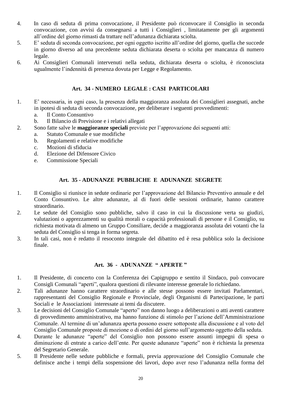- 4. In caso di seduta di prima convocazione, il Presidente può riconvocare il Consiglio in seconda convocazione, con avvisi da consegnarsi a tutti i Consiglieri , limitatamente per gli argomenti all'ordine del giorno rimasti da trattare nell'adunanza dichiarata sciolta.
- 5. E' seduta di seconda convocazione, per ogni oggetto iscritto all'ordine del giorno, quella che succede in giorno diverso ad una precedente seduta dichiarata deserta o sciolta per mancanza di numero legale.
- 6. Ai Consiglieri Comunali intervenuti nella seduta, dichiarata deserta o sciolta, è riconosciuta ugualmente l'indennità di presenza dovuta per Legge e Regolamento.

#### **Art. 34 - NUMERO LEGALE : CASI PARTICOLARI**

- <span id="page-19-0"></span>1. E' necessaria, in ogni caso, la presenza della maggioranza assoluta dei Consiglieri assegnati, anche in ipotesi di seduta di seconda convocazione, per deliberare i seguenti provvedimenti:
	- a. Il Conto Consuntivo
	- b. Il Bilancio di Previsione e i relativi allegati
- 2. Sono fatte salve le **maggioranze speciali** previste per l'approvazione dei seguenti atti:
	- a. Statuto Comunale e sue modifiche
	- b. Regolamenti e relative modifiche
	- c. Mozioni di sfiducia
	- d. Elezione del Difensore Civico
	- e. Commissione Speciali

#### **Art. 35 - ADUNANZE PUBBLICHE E ADUNANZE SEGRETE**

- <span id="page-19-1"></span>1. Il Consiglio si riunisce in sedute ordinarie per l'approvazione del Bilancio Preventivo annuale e del Conto Consuntivo. Le altre adunanze, al di fuori delle sessioni ordinarie, hanno carattere straordinario.
- 2. Le sedute del Consiglio sono pubbliche, salvo il caso in cui la discussione verta su giudizi, valutazioni o apprezzamenti su qualità morali o capacità professionali di persone e il Consiglio, su richiesta motivata di almeno un Gruppo Consiliare, decide a maggioranza assoluta dei votanti che la seduta del Consiglio si tenga in forma segreta.
- 3. In tali casi, non è redatto il resoconto integrale del dibattito ed è resa pubblica solo la decisione finale.

#### **Art. 36 - ADUNANZE " APERTE "**

- <span id="page-19-2"></span>1. Il Presidente, di concerto con la Conferenza dei Capigruppo e sentito il Sindaco, può convocare Consigli Comunali "aperti", qualora questioni di rilevante interesse generale lo richiedano.
- 2. Tali adunanze hanno carattere straordinario e alle stesse possono essere invitati Parlamentari, rappresentanti del Consiglio Regionale e Provinciale, degli Organismi di Partecipazione, le parti Sociali e le Associazioni interessate ai temi da discutere.
- 3. Le decisioni del Consiglio Comunale "aperto" non danno luogo a deliberazioni o atti aventi carattere di provvedimento amministrativo, ma hanno funzione di stimolo per l'azione dell'Amministrazione Comunale. Al termine di un'adunanza aperta possono essere sottoposte alla discussione e al voto del Consiglio Comunale proposte di mozione o di ordini del giorno sull'argomento oggetto della seduta.
- 4. Durante le adunanze "aperte" del Consiglio non possono essere assunti impegni di spesa o diminuzione di entrate a carico dell'ente. Per queste adunanze "aperte" non è richiesta la presenza del Segretario Generale.
- 5. Il Presidente nelle sedute pubbliche e formali, previa approvazione del Consiglio Comunale che definisce anche i tempi della sospensione dei lavori, dopo aver reso l'adunanza nella forma del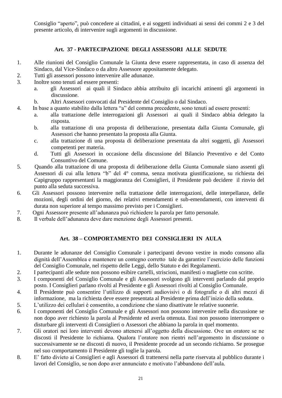Consiglio "aperto", può concedere ai cittadini, e ai soggetti individuati ai sensi dei commi 2 e 3 del presente articolo, di intervenire sugli argomenti in discussione.

#### **Art. 37 - PARTECIPAZIONE DEGLI ASSESSORI ALLE SEDUTE**

- <span id="page-20-0"></span>1. Alle riunioni del Consiglio Comunale la Giunta deve essere rappresentata, in caso di assenza del Sindaco, dal Vice-Sindaco o da altro Assessore appositamente delegato.
- 2. Tutti gli assessori possono intervenire alle adunanze.
- 3. Inoltre sono tenuti ad essere presenti:
	- a. gli Assessori ai quali il Sindaco abbia attribuito gli incarichi attinenti gli argomenti in discussione.
	- b. Altri Assessori convocati dal Presidente del Consiglio o dal Sindaco.
- 4. In base a quanto stabilito dalla lettera "a" del comma precedente, sono tenuti ad essere presenti:
	- a. alla trattazione delle interrogazioni gli Assessori ai quali il Sindaco abbia delegato la risposta.
	- b. alla trattazione di una proposta di deliberazione, presentata dalla Giunta Comunale, gli Assessori che hanno presentato la proposta alla Giunta.
	- c. alla trattazione di una proposta di deliberazione presentata da altri soggetti, gli Assessori competenti per materia.
	- d. Tutti gli Assessori in occasione della discussione del Bilancio Preventivo e del Conto Consuntivo del Comune.
- 5. Quando alla trattazione di una proposta di deliberazione della Giunta Comunale siano assenti gli Assessori di cui alla lettera "b" del 4° comma, senza motivata giustificazione, su richiesta dei Capigruppo rappresentanti la maggioranza dei Consiglieri, il Presidente può decidere il rinvio del punto alla seduta successiva.
- 6. Gli Assessori possono intervenire nella trattazione delle interrogazioni, delle interpellanze, delle mozioni, degli ordini del giorno, dei relativi emendamenti e sub-emendamenti, con interventi di durata non superiore al tempo massimo previsto per i Consiglieri.
- 7. Ogni Assessore presente all'adunanza può richiedere la parola per fatto personale.
- 8. Il verbale dell'adunanza deve dare menzione degli Assessori presenti.

#### **Art. 38 – COMPORTAMENTO DEI CONSIGLIERI IN AULA**

- <span id="page-20-1"></span>1. Durante le adunanze del Consiglio Comunale i partecipanti devono vestire in modo consono alla dignità dell'Assemblea e mantenere un contegno corretto tale da garantire l'esercizio delle funzioni del Consiglio Comunale, nel rispetto delle Leggi, dello Statuto e dei Regolamenti.
- 2. I partecipanti alle sedute non possono esibire cartelli, striscioni, manifesti o magliette con scritte.
- 3. I componenti del Consiglio Comunale e gli Assessori svolgono gli interventi parlando dal proprio posto. I Consiglieri parlano rivolti al Presidente e gli Assessori rivolti al Consiglio Comunale.
- 4. Il Presidente può consentire l'utilizzo di supporti audiovisivi o di fotografie o di altri mezzi di informazione, ma la richiesta deve essere presentata al Presidente prima dell'inizio della seduta.
- 5. L'utilizzo dei cellulari è consentito, a condizione che siano disattivate le relative suonerie.
- 6. I componenti del Consiglio Comunale e gli Assessori non possono intervenire nella discussione se non dopo aver richiesto la parola al Presidente ed averla ottenuta. Essi non possono interrompere o disturbare gli interventi di Consiglieri o Assessori che abbiano la parola in quel momento.
- 7. Gli oratori nei loro interventi devono attenersi all'oggetto della discussione. Ove un oratore se ne discosti il Presidente lo richiama. Qualora l'oratore non rientri nell'argomento in discussione o successivamente se ne discosti di nuovo, il Presidente procede ad un secondo richiamo. Se prosegue nel suo comportamento il Presidente gli toglie la parola.
- 8. E' fatto divieto ai Consiglieri e agli Assessori di trattenersi nella parte riservata al pubblico durante i lavori del Consiglio, se non dopo aver annunciato e motivato l'abbandono dell'aula.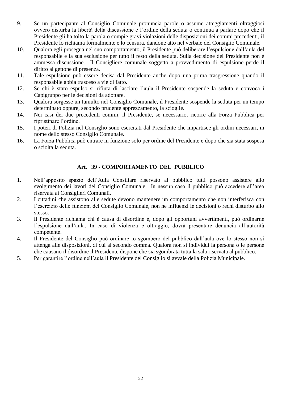- 9. Se un partecipante al Consiglio Comunale pronuncia parole o assume atteggiamenti oltraggiosi ovvero disturba la libertà della discussione e l'ordine della seduta o continua a parlare dopo che il Presidente gli ha tolto la parola o compie gravi violazioni delle disposizioni dei commi precedenti, il Presidente lo richiama formalmente e lo censura, dandone atto nel verbale del Consiglio Comunale.
- 10. Qualora egli prosegua nel suo comportamento, il Presidente può deliberare l'espulsione dall'aula del responsabile e la sua esclusione per tutto il resto della seduta. Sulla decisione del Presidente non è ammessa discussione. Il Consigliere comunale soggetto a provvedimento di espulsione perde il diritto al gettone di presenza.
- 11. Tale espulsione può essere decisa dal Presidente anche dopo una prima trasgressione quando il responsabile abbia trasceso a vie di fatto.
- 12. Se chi è stato espulso si rifiuta di lasciare l'aula il Presidente sospende la seduta e convoca i Capigruppo per le decisioni da adottare.
- 13. Qualora sorgesse un tumulto nel Consiglio Comunale, il Presidente sospende la seduta per un tempo determinato oppure, secondo prudente apprezzamento, la scioglie.
- 14. Nei casi dei due precedenti commi, il Presidente, se necessario, ricorre alla Forza Pubblica per ripristinare l'ordine.
- 15. I poteri di Polizia nel Consiglio sono esercitati dal Presidente che impartisce gli ordini necessari, in nome dello stesso Consiglio Comunale.
- 16. La Forza Pubblica può entrare in funzione solo per ordine del Presidente e dopo che sia stata sospesa o sciolta la seduta.

#### **Art. 39 - COMPORTAMENTO DEL PUBBLICO**

- <span id="page-21-0"></span>1. Nell'apposito spazio dell'Aula Consiliare riservato al pubblico tutti possono assistere allo svolgimento dei lavori del Consiglio Comunale. In nessun caso il pubblico può accedere all'area riservata ai Consiglieri Comunali.
- 2. I cittadini che assistono alle sedute devono mantenere un comportamento che non interferisca con l'esercizio delle funzioni del Consiglio Comunale, non ne influenzi le decisioni o rechi disturbo allo stesso.
- 3. Il Presidente richiama chi è causa di disordine e, dopo gli opportuni avvertimenti, può ordinarne l'espulsione dall'aula. In caso di violenza e oltraggio, dovrà presentare denuncia all'autorità competente.
- 4. Il Presidente del Consiglio può ordinare lo sgombero del pubblico dall'aula ove lo stesso non si attenga alle disposizioni, di cui al secondo comma. Qualora non si individui la persona o le persone che causano il disordine il Presidente dispone che sia sgombrata tutta la sala riservata al pubblico.
- 5. Per garantire l'ordine nell'aula il Presidente del Consiglio si avvale della Polizia Municipale.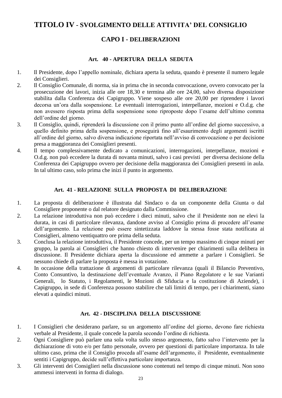#### <span id="page-22-1"></span><span id="page-22-0"></span>**TITOLO IV - SVOLGIMENTO DELLE ATTIVITA' DEL CONSIGLIO**

#### **CAPO I - DELIBERAZIONI**

#### **Art. 40 - APERTURA DELLA SEDUTA**

- <span id="page-22-2"></span>1. Il Presidente, dopo l'appello nominale, dichiara aperta la seduta, quando è presente il numero legale dei Consiglieri.
- 2. Il Consiglio Comunale, di norma, sia in prima che in seconda convocazione, ovvero convocato per la prosecuzione dei lavori, inizia alle ore 18,30 e termina alle ore 24,00, salvo diversa disposizione stabilita dalla Conferenza dei Capigruppo. Viene sospeso alle ore 20,00 per riprendere i lavori decorsa un'ora dalla sospensione. Le eventuali interrogazioni, interpellanze, mozioni e O.d.g. che non avessero risposta prima della sospensione sono riproposte dopo l'esame dell'ultimo comma dell'ordine del giorno.
- 3. Il Consiglio, quindi, riprenderà la discussione con il primo punto all'ordine del giorno successivo, a quello definito prima della sospensione, e proseguirà fino all'esaurimento degli argomenti iscritti all'ordine del giorno, salvo diversa indicazione riportata nell'avviso di convocazione o per decisione presa a maggioranza dei Consiglieri presenti.
- 4. Il tempo complessivamente dedicato a comunicazioni, interrogazioni, interpellanze, mozioni e O.d.g. non può eccedere la durata di novanta minuti, salvo i casi previsti per diversa decisione della Conferenza dei Capigruppo ovvero per decisione della maggioranza dei Consiglieri presenti in aula. In tal ultimo caso, solo prima che inizi il punto in argomento.

#### **Art. 41 - RELAZIONE SULLA PROPOSTA DI DELIBERAZIONE**

- <span id="page-22-3"></span>1. La proposta di deliberazione è illustrata dal Sindaco o da un componente della Giunta o dal Consigliere proponente o dal relatore designato dalla Commissione.
- 2. La relazione introduttiva non può eccedere i dieci minuti, salvo che il Presidente non ne elevi la durata, in casi di particolare rilevanza, dandone avviso al Consiglio prima di procedere all'esame dell'argomento. La relazione può essere sintetizzata laddove la stessa fosse stata notificata ai Consiglieri, almeno ventiquattro ore prima della seduta.
- 3. Conclusa la relazione introduttiva, il Presidente concede, per un tempo massimo di cinque minuti per gruppo, la parola ai Consiglieri che hanno chiesto di intervenire per chiarimenti sulla delibera in discussione. Il Presidente dichiara aperta la discussione ed ammette a parlare i Consiglieri. Se nessuno chiede di parlare la proposta è messa in votazione.
- 4. In occasione della trattazione di argomenti di particolare rilevanza (quali il Bilancio Preventivo, Conto Consuntivo, la destinazione dell'eventuale Avanzo, il Piano Regolatore e le sue Varianti Generali, lo Statuto, i Regolamenti, le Mozioni di Sfiducia e la costituzione di Aziende), i Capigruppo, in sede di Conferenza possono stabilire che tali limiti di tempo, per i chiarimenti, siano elevati a quindici minuti.

#### **Art. 42 - DISCIPLINA DELLA DISCUSSIONE**

- <span id="page-22-4"></span>1. I Consiglieri che desiderano parlare, su un argomento all'ordine del giorno, devono fare richiesta verbale al Presidente, il quale concede la parola secondo l'ordine di richiesta.
- 2. Ogni Consigliere può parlare una sola volta sullo stesso argomento, fatto salvo l'intervento per la dichiarazione di voto e/o per fatto personale, ovvero per questioni di particolare importanza. In tale ultimo caso, prima che il Consiglio proceda all'esame dell'argomento, il Presidente, eventualmente sentiti i Capigruppo, decide sull'effettiva particolare importanza.
- 3. Gli interventi dei Consiglieri nella discussione sono contenuti nel tempo di cinque minuti. Non sono ammessi interventi in forma di dialogo.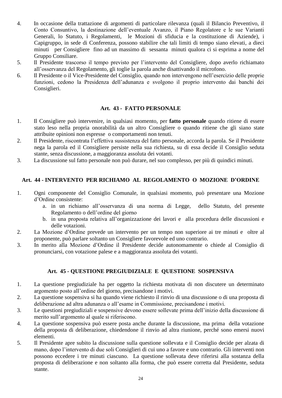- 4. In occasione della trattazione di argomenti di particolare rilevanza (quali il Bilancio Preventivo, il Conto Consuntivo, la destinazione dell'eventuale Avanzo, il Piano Regolatore e le sue Varianti Generali, lo Statuto, i Regolamenti, le Mozioni di sfiducia e la costituzione di Aziende), i Capigruppo, in sede di Conferenza, possono stabilire che tali limiti di tempo siano elevati, a dieci minuti per Consigliere fino ad un massimo di sessanta minuti qualora ci si esprima a nome del Gruppo Consiliare.
- 5. Il Presidente trascorso il tempo previsto per l'intervento del Consigliere, dopo averlo richiamato all'osservanza del Regolamento, gli toglie la parola anche disattivando il microfono.
- 6. Il Presidente o il Vice-Presidente del Consiglio, quando non intervengono nell'esercizio delle proprie funzioni, cedono la Presidenza dell'adunanza e svolgono il proprio intervento dai banchi dei Consiglieri.

#### **Art. 43 - FATTO PERSONALE**

- <span id="page-23-0"></span>1. Il Consigliere può intervenire, in qualsiasi momento, per **fatto personale** quando ritiene di essere stato leso nella propria onorabilità da un altro Consigliere o quando ritiene che gli siano state attribuite opinioni non espresse o comportamenti non tenuti.
- 2. Il Presidente, riscontrata l'effettiva sussistenza del fatto personale, accorda la parola. Se il Presidente nega la parola ed il Consigliere persiste nella sua richiesta, su di essa decide il Consiglio seduta stante, senza discussione, a maggioranza assoluta dei votanti.
- 3. La discussione sul fatto personale non può durare, nel suo complesso, per più di quindici minuti.

#### <span id="page-23-1"></span>**Art. 44 - INTERVENTO PER RICHIAMO AL REGOLAMENTO O MOZIONE D'ORDINE**

- 1. Ogni componente del Consiglio Comunale, in qualsiasi momento, può presentare una Mozione d'Ordine consistente:
	- a. in un richiamo all'osservanza di una norma di Legge, dello Statuto, del presente Regolamento o dell'ordine del giorno
	- b. in una proposta relativa all'organizzazione dei lavori e alla procedura delle discussioni e delle votazioni.
- 2. La Mozione d'Ordine prevede un intervento per un tempo non superiore ai tre minuti e oltre al proponente, può parlare soltanto un Consigliere favorevole ed uno contrario.
- 3. In merito alla Mozione d'Ordine il Presidente decide autonomamente o chiede al Consiglio di pronunciarsi, con votazione palese e a maggioranza assoluta dei votanti.

#### **Art. 45 - QUESTIONE PREGIUDIZIALE E QUESTIONE SOSPENSIVA**

- <span id="page-23-2"></span>1. La questione pregiudiziale ha per oggetto la richiesta motivata di non discutere un determinato argomento posto all'ordine del giorno, precisandone i motivi.
- 2. La questione sospensiva si ha quando viene richiesto il rinvio di una discussione o di una proposta di deliberazione ad altra adunanza o all'esame in Commissione, precisandone i motivi.
- 3. Le questioni pregiudiziali e sospensive devono essere sollevate prima dell'inizio della discussione di merito sull'argomento al quale si riferiscono.
- 4. La questione sospensiva può essere posta anche durante la discussione, ma prima della votazione della proposta di deliberazione, chiedendone il rinvio ad altra riunione, perché sono emersi nuovi elementi.
- 5. Il Presidente apre subito la discussione sulla questione sollevata e il Consiglio decide per alzata di mano, dopo l'intervento di due soli Consiglieri di cui uno a favore e uno contrario. Gli interventi non possono eccedere i tre minuti ciascuno. La questione sollevata deve riferirsi alla sostanza della proposta di deliberazione e non soltanto alla forma, che può essere corretta dal Presidente, seduta stante.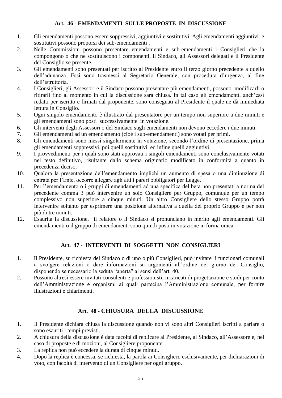#### **Art. 46 - EMENDAMENTI SULLE PROPOSTE IN DISCUSSIONE**

- <span id="page-24-0"></span>1. Gli emendamenti possono essere soppressivi, aggiuntivi e sostitutivi. Agli emendamenti aggiuntivi e sostitutivi possono proporsi dei sub-emendamenti .
- 2. Nelle Commissioni possono presentare emendamenti e sub-emendamenti i Consiglieri che la compongono o che ne sostituiscono i componenti, il Sindaco, gli Assessori delegati e il Presidente del Consiglio se presente.
- 3. Gli emendamenti sono presentati per iscritto al Presidente entro il terzo giorno precedente a quello dell'adunanza. Essi sono trasmessi al Segretario Generale, con procedura d'urgenza, al fine dell'istruttoria.
- 4. I Consiglieri, gli Assessori e il Sindaco possono presentare più emendamenti, possono modificarli o ritirarli fino al momento in cui la discussione sarà chiusa. In tal caso gli emendamenti, anch'essi redatti per iscritto e firmati dal proponente, sono consegnati al Presidente il quale ne dà immediata lettura in Consiglio.
- 5. Ogni singolo emendamento è illustrato dal presentatore per un tempo non superiore a due minuti e gli emendamenti sono posti successivamente in votazione.
- 6. Gli interventi degli Assessori o del Sindaco sugli emendamenti non devono eccedere i due minuti.
- 7. Gli emendamenti ad un emendamento (cioè i sub-emendamenti) sono votati per primi.
- 8. Gli emendamenti sono messi singolarmente in votazione, secondo l'ordine di presentazione, prima gli emendamenti soppressivi, poi quelli sostitutivi ed infine quelli aggiuntivi.
- 9. I provvedimenti per i quali sono stati approvati i singoli emendamenti sono conclusivamente votati nel testo definitivo, risultante dallo schema originario modificato in conformità a quanto in precedenza deciso.
- 10. Qualora la presentazione dell'emendamento implichi un aumento di spesa o una diminuzione di entrata per l'Ente, occorre allegare agli atti i pareri obbligatori per Legge.
- 11. Per l'emendamento o i gruppi di emendamenti ad una specifica delibera non presentati a norma del precedente comma 3 può intervenire un solo Consigliere per Gruppo, comunque per un tempo complessivo non superiore a cinque minuti. Un altro Consigliere dello stesso Gruppo potrà intervenire soltanto per esprimere una posizione alternativa a quella del proprio Gruppo e per non più di tre minuti.
- 12. Esaurita la discussione, il relatore o il Sindaco si pronunciano in merito agli emendamenti. Gli emendamenti o il gruppo di emendamenti sono quindi posti in votazione in forma unica.

#### **Art. 47 - INTERVENTI DI SOGGETTI NON CONSIGLIERI**

- <span id="page-24-1"></span>1. Il Presidente, su richiesta del Sindaco o di uno o più Consiglieri, può invitare i funzionari comunali a svolgere relazioni o dare informazioni su argomenti all'ordine del giorno del Consiglio, disponendo se necessario la seduta "aperta" ai sensi dell'art. 40.
- 2. Possono altresì essere invitati consulenti e professionisti, incaricati di progettazione e studi per conto dell'Amministrazione e organismi ai quali partecipa l'Amministrazione comunale, per fornire illustrazioni e chiarimenti.

#### **Art. 48 - CHIUSURA DELLA DISCUSSIONE**

- <span id="page-24-2"></span>1. Il Presidente dichiara chiusa la discussione quando non vi sono altri Consiglieri iscritti a parlare o sono esauriti i tempi previsti.
- 2. A chiusura della discussione è data facoltà di replicare al Presidente, al Sindaco, all'Assessore e, nel caso di proposte e di mozioni, al Consigliere proponente.
- 3. La replica non può eccedere la durata di cinque minuti.
- 4. Dopo la replica è concessa, se richiesta, la parola ai Consiglieri, esclusivamente, per dichiarazioni di voto, con facoltà di intervento di un Consigliere per ogni gruppo.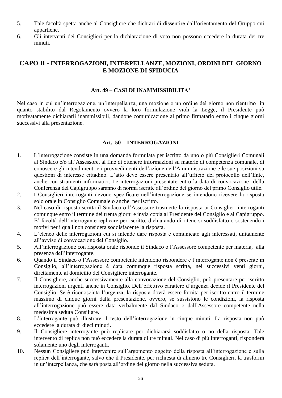- 5. Tale facoltà spetta anche al Consigliere che dichiari di dissentire dall'orientamento del Gruppo cui appartiene.
- 6. Gli interventi dei Consiglieri per la dichiarazione di voto non possono eccedere la durata dei tre minuti.

#### <span id="page-25-0"></span>**CAPO II - INTERROGAZIONI, INTERPELLANZE, MOZIONI, ORDINI DEL GIORNO E MOZIONE DI SFIDUCIA**

#### **Art. 49 – CASI DI INAMMISSIBILITA'**

<span id="page-25-1"></span>Nel caso in cui un'interrogazione, un'interpellanza, una mozione o un ordine del giorno non rientrino in quanto stabilito dal Regolamento ovvero la loro formulazione violi la Legge, il Presidente può motivatamente dichiararli inammissibili, dandone comunicazione al primo firmatario entro i cinque giorni successivi alla presentazione.

#### **Art. 50 - INTERROGAZIONI**

- <span id="page-25-2"></span>1. L'interrogazione consiste in una domanda formulata per iscritto da uno o più Consiglieri Comunali al Sindaco e/o all'Assessore, al fine di ottenere informazioni su materie di competenza comunale, di conoscere gli intendimenti e i provvedimenti dell'azione dell'Amministrazione e le sue posizioni su questioni di interesse cittadino. L'atto deve essere presentato all'ufficio del protocollo dell'Ente, anche con strumenti informatici. Le interrogazioni presentate entro la data di convocazione della Conferenza dei Capigruppo saranno di norma iscritte all'ordine del giorno del primo Consiglio utile.
- 2. I Consiglieri interroganti devono specificare nell'interrogazione se intendono ricevere la risposta solo orale in Consiglio Comunale o anche per iscritto.
- 3. Nel caso di risposta scritta il Sindaco o l'Assessore trasmette la risposta ai Consiglieri interroganti comunque entro il termine dei trenta giorni e invia copia al Presidente del Consiglio e ai Capigruppo. E' facoltà dell'interrogante replicare per iscritto, dichiarando di ritenersi soddisfatto o sostenendo i motivi per i quali non considera soddisfacente la risposta.
- 4. L'elenco delle interrogazioni cui si intende dare risposta è comunicato agli interessati, unitamente all'avviso di convocazione del Consiglio.
- 5. All'interrogazione con risposta orale risponde il Sindaco o l'Assessore competente per materia, alla presenza dell'interrogante.
- 6. Quando il Sindaco o l'Assessore competente intendono rispondere e l'interrogante non è presente in Consiglio, all'interrogazione è data comunque risposta scritta, nei successivi venti giorni, direttamente al domicilio del Consigliere interrogante.
- 7. Il Consigliere, anche successivamente alla convocazione del Consiglio, può presentare per iscritto interrogazioni urgenti anche in Consiglio. Dell'effettivo carattere d'urgenza decide il Presidente del Consiglio. Se è riconosciuta l'urgenza, la risposta dovrà essere fornita per iscritto entro il termine massimo di cinque giorni dalla presentazione, ovvero, se sussistono le condizioni, la risposta all'interrogazione può essere data verbalmente dal Sindaco o dall'Assessore competente nella medesima seduta Consiliare.
- 8. L'interrogante può illustrare il testo dell'interrogazione in cinque minuti. La risposta non può eccedere la durata di dieci minuti.
- 9. Il Consigliere interrogante può replicare per dichiararsi soddisfatto o no della risposta. Tale intervento di replica non può eccedere la durata di tre minuti. Nel caso di più interroganti, risponderà solamente uno degli interroganti.
- 10. Nessun Consigliere può intervenire sull'argomento oggetto della risposta all'interrogazione e sulla replica dell'interrogante, salvo che il Presidente, per richiesta di almeno tre Consiglieri, la trasformi in un'interpellanza, che sarà posta all'ordine del giorno nella successiva seduta.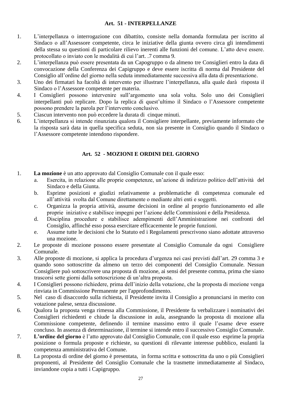#### **Art. 51 - INTERPELLANZE**

- <span id="page-26-0"></span>1. L'interpellanza o interrogazione con dibattito, consiste nella domanda formulata per iscritto al Sindaco o all'Assessore competente, circa le iniziative della giunta ovvero circa gli intendimenti della stessa su questioni di particolare rilievo inerenti alle funzioni del comune. L'atto deve essere. protocollato o inviato con le modalità di cui l'art. .7 comma 9.
- 2. L'interpellanza può essere presentata da un Capogruppo o da almeno tre Consiglieri entro la data di convocazione della Conferenza dei Capigruppo e deve essere iscritta di norma dal Presidente del Consiglio all'ordine del giorno nella seduta immediatamente successiva alla data di presentazione.
- 3. Uno dei firmatari ha facoltà di intervento per illustrare l'interpellanza, alla quale darà risposta il Sindaco o l'Assessore competente per materia.
- 4. I Consiglieri possono intervenire sull'argomento una sola volta. Solo uno dei Consiglieri interpellanti può replicare. Dopo la replica di quest'ultimo il Sindaco o l'Assessore competente possono prendere la parola per l'intervento conclusivo.
- 5. Ciascun intervento non può eccedere la durata di cinque minuti.
- 6. L'interpellanza si intende rinunziata qualora il Consigliere interpellante, previamente informato che la risposta sarà data in quella specifica seduta, non sia presente in Consiglio quando il Sindaco o l'Assessore competente intendono rispondere.

#### **Art. 52 - MOZIONI E ORDINI DEL GIORNO**

- <span id="page-26-1"></span>1. **La mozione** è un atto approvato dal Consiglio Comunale con il quale esso:
	- a. Esercita, in relazione alle proprie competenze, un'azione di indirizzo politico dell'attività del Sindaco e della Giunta.
	- b. Esprime posizioni e giudizi relativamente a problematiche di competenza comunale ed all'attività svolta dal Comune direttamente o mediante altri enti e soggetti.
	- c. Organizza la propria attività, assume decisioni in ordine al proprio funzionamento ed alle proprie iniziative e stabilisce impegni per l'azione delle Commissioni e della Presidenza.
	- d. Disciplina procedure e stabilisce adempimenti dell'Amministrazione nei confronti del Consiglio, affinché esso possa esercitare efficacemente le proprie funzioni.
	- e. Assume tutte le decisioni che lo Statuto ed i Regolamenti prescrivono siano adottate attraverso una mozione.
- 2. Le proposte di mozione possono essere presentate al Consiglio Comunale da ogni Consigliere Comunale.
- 3. Alle proposte di mozione, si applica la procedura d'urgenza nei casi previsti dall'art. 29 comma 3 e quando sono sottoscritte da almeno un terzo dei componenti del Consiglio Comunale. Nessun Consigliere può sottoscrivere una proposta di mozione, ai sensi del presente comma, prima che siano trascorsi sette giorni dalla sottoscrizione di un'altra proposta.
- 4. I Consiglieri possono richiedere, prima dell'inizio della votazione, che la proposta di mozione venga rinviata in Commissione Permanente per l'approfondimento.
- 5. Nel caso di disaccordo sulla richiesta, il Presidente invita il Consiglio a pronunciarsi in merito con votazione palese, senza discussione.
- 6. Qualora la proposta venga rimessa alla Commissione, il Presidente fa verbalizzare i nominativi dei Consiglieri richiedenti e chiude la discussione in aula, assegnando la proposta di mozione alla Commissione competente, definendo il termine massimo entro il quale l'esame deve essere concluso. In assenza di determinazione, il termine si intende entro il successivo Consiglio Comunale.
- 7. **L'ordine del giorno** è l'atto approvato dal Consiglio Comunale, con il quale esso esprime la propria posizione o formula proposte e richieste, su questioni di rilevante interesse pubblico, esulanti la competenza amministrativa del Comune.
- 8. La proposta di ordine del giorno è presentata, in forma scritta e sottoscritta da uno o più Consiglieri proponenti, al Presidente del Consiglio Comunale che la trasmette immediatamente al Sindaco, inviandone copia a tutti i Capigruppo.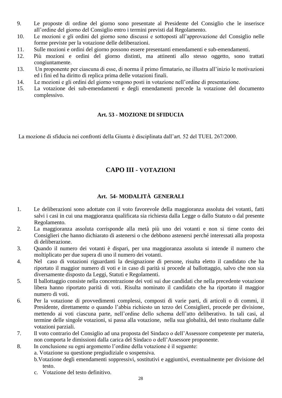- 9. Le proposte di ordine del giorno sono presentate al Presidente del Consiglio che le inserisce all'ordine del giorno del Consiglio entro i termini previsti dal Regolamento.
- 10. Le mozioni e gli ordini del giorno sono discussi e sottoposti all'approvazione del Consiglio nelle forme previste per la votazione delle deliberazioni.
- 11. Sulle mozioni e ordini del giorno possono essere presentanti emendamenti e sub-emendamenti.
- 12. Più mozioni e ordini del giorno distinti, ma attinenti allo stesso oggetto, sono trattati congiuntamente.
- 13. Un proponente per ciascuna di esse, di norma il primo firmatario, ne illustra all'inizio le motivazioni ed i fini ed ha diritto di replica prima delle votazioni finali.
- 14. Le mozioni e gli ordini del giorno vengono posti in votazione nell'ordine di presentazione.
- 15. La votazione dei sub-emendamenti e degli emendamenti precede la votazione del documento complessivo.

#### **Art. 53 - MOZIONE DI SFIDUCIA**

<span id="page-27-1"></span><span id="page-27-0"></span>La mozione di sfiducia nei confronti della Giunta è disciplinata dall'art. 52 del TUEL 267/2000.

#### **CAPO III - VOTAZIONI**

#### **Art. 54- MODALITÀ GENERALI**

- <span id="page-27-2"></span>1. Le deliberazioni sono adottate con il voto favorevole della maggioranza assoluta dei votanti, fatti salvi i casi in cui una maggioranza qualificata sia richiesta dalla Legge o dallo Statuto o dal presente Regolamento.
- 2. La maggioranza assoluta corrisponde alla metà più uno dei votanti e non si tiene conto dei Consiglieri che hanno dichiarato di astenersi o che debbono astenersi perché interessati alla proposta di deliberazione.
- 3. Quando il numero dei votanti è dispari, per una maggioranza assoluta si intende il numero che moltiplicato per due supera di uno il numero dei votanti.
- 4. Nel caso di votazioni riguardanti la designazione di persone, risulta eletto il candidato che ha riportato il maggior numero di voti e in caso di parità si procede al ballottaggio, salvo che non sia diversamente disposto da Leggi, Statuti e Regolamenti.
- 5. Il ballottaggio consiste nella concentrazione dei voti sui due candidati che nella precedente votazione libera hanno riportato parità di voti. Risulta nominato il candidato che ha riportato il maggior numero di voti.
- 6. Per la votazione di provvedimenti complessi, composti di varie parti, di articoli o di commi, il Presidente, direttamente o quando l'abbia richiesto un terzo dei Consiglieri, procede per divisione, mettendo ai voti ciascuna parte, nell'ordine dello schema dell'atto deliberativo. In tali casi, al termine delle singole votazioni, si passa alla votazione, nella sua globalità, del testo risultante dalle votazioni parziali.
- 7. Il voto contrario del Consiglio ad una proposta del Sindaco o dell'Assessore competente per materia, non comporta le dimissioni dalla carica del Sindaco o dell'Assessore proponente.
- 8. In conclusione su ogni argomento l'ordine della votazione è il seguente:
	- a. Votazione su questione pregiudiziale o sospensiva.
	- b.Votazione degli emendamenti soppressivi, sostitutivi e aggiuntivi, eventualmente per divisione del testo.
	- c. Votazione del testo definitivo.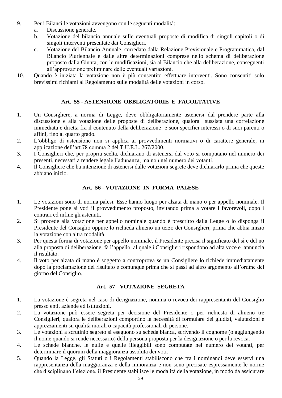- 9. Per i Bilanci le votazioni avvengono con le seguenti modalità:
	- a. Discussione generale.
	- b. Votazione del bilancio annuale sulle eventuali proposte di modifica di singoli capitoli o di singoli interventi presentate dai Consiglieri.
	- c. Votazione del Bilancio Annuale, corredato dalla Relazione Previsionale e Programmatica, dal Bilancio Pluriennale e dalle altre determinazioni comprese nello schema di deliberazione proposto dalla Giunta, con le modificazioni, sia al Bilancio che alla deliberazione, conseguenti all'approvazione preliminare delle eventuali variazioni.
- 10. Quando è iniziata la votazione non è più consentito effettuare interventi. Sono consentiti solo brevissimi richiami al Regolamento sulle modalità delle votazioni in corso.

#### **Art. 55 - ASTENSIONE OBBLIGATORIE E FACOLTATIVE**

- <span id="page-28-0"></span>1. Un Consigliere, a norma di Legge, deve obbligatoriamente astenersi dal prendere parte alla discussione e alla votazione delle proposte di deliberazione, qualora sussista una correlazione immediata e diretta fra il contenuto della deliberazione e suoi specifici interessi o di suoi parenti o affini, fino al quarto grado.
- 2. L'obbligo di astensione non si applica ai provvedimenti normativi o di carattere generale, in applicazione dell'art.78 comma 2 del T.U.E.L. 267/2000.
- 3. I Consiglieri che, per propria scelta, dichiarano di astenersi dal voto si computano nel numero dei presenti, necessari a rendere legale l'adunanza, ma non nel numero dei votanti.
- 4. Il Consigliere che ha intenzione di astenersi dalle votazioni segrete deve dichiararlo prima che queste abbiano inizio.

#### **Art. 56 - VOTAZIONE IN FORMA PALESE**

- <span id="page-28-1"></span>1. Le votazioni sono di norma palesi. Esse hanno luogo per alzata di mano o per appello nominale. Il Presidente pone ai voti il provvedimento proposto, invitando prima a votare i favorevoli, dopo i contrari ed infine gli astenuti.
- 2. Si procede alla votazione per appello nominale quando è prescritto dalla Legge o lo disponga il Presidente del Consiglio oppure lo richieda almeno un terzo dei Consiglieri, prima che abbia inizio la votazione con altra modalità.
- 3. Per questa forma di votazione per appello nominale, il Presidente precisa il significato del sì e del no alla proposta di deliberazione, fa l'appello, al quale i Consiglieri rispondono ad alta voce e annuncia il risultato.
- 4. Il voto per alzata di mano è soggetto a controprova se un Consigliere lo richiede immediatamente dopo la proclamazione del risultato e comunque prima che si passi ad altro argomento all'ordine del giorno del Consiglio.

#### **Art. 57 - VOTAZIONE SEGRETA**

- <span id="page-28-2"></span>1. La votazione è segreta nel caso di designazione, nomina o revoca dei rappresentanti del Consiglio presso enti, aziende ed istituzioni.
- 2. La votazione può essere segreta per decisione del Presidente o per richiesta di almeno tre Consiglieri, qualora le deliberazioni comportino la necessità di formulare dei giudizi, valutazioni e apprezzamenti su qualità morali o capacità professionali di persone.
- 3. Le votazioni a scrutinio segreto si eseguono su scheda bianca, scrivendo il cognome (o aggiungendo il nome quando si rende necessario) della persona proposta per la designazione o per la revoca.
- 4. Le schede bianche, le nulle e quelle illeggibili sono computate nel numero dei votanti, per determinare il quorum della maggioranza assoluta dei voti.
- 5. Quando la Legge, gli Statuti o i Regolamenti stabiliscono che fra i nominandi deve esservi una rappresentanza della maggioranza e della minoranza e non sono precisate espressamente le norme che disciplinano l'elezione, il Presidente stabilisce le modalità della votazione, in modo da assicurare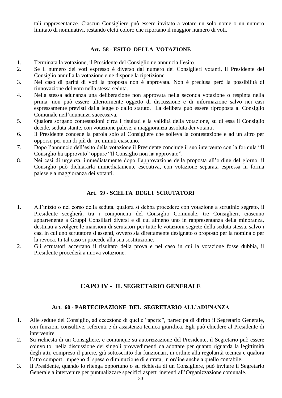tali rappresentanze. Ciascun Consigliere può essere invitato a votare un solo nome o un numero limitato di nominativi, restando eletti coloro che riportano il maggior numero di voti.

#### **Art. 58 - ESITO DELLA VOTAZIONE**

- <span id="page-29-0"></span>1. Terminata la votazione, il Presidente del Consiglio ne annuncia l'esito.
- 2. Se il numero dei voti espresso è diverso dal numero dei Consiglieri votanti, il Presidente del Consiglio annulla la votazione e ne dispone la ripetizione.
- 3. Nel caso di parità di voti la proposta non è approvata. Non è preclusa però la possibilità di rinnovazione del voto nella stessa seduta.
- 4. Nella stessa adunanza una deliberazione non approvata nella seconda votazione o respinta nella prima, non può essere ulteriormente oggetto di discussione e di informazione salvo nei casi espressamente previsti dalla legge o dallo statuto. La delibera può essere riproposta al Consiglio Comunale nell'adunanza successiva.
- 5. Qualora sorgano contestazioni circa i risultati e la validità della votazione, su di essa il Consiglio decide, seduta stante, con votazione palese, a maggioranza assoluta dei votanti.
- 6. Il Presidente concede la parola solo al Consigliere che solleva la contestazione e ad un altro per opporsi, per non di più di tre minuti ciascuno.
- 7. Dopo l'annuncio dell'esito della votazione il Presidente conclude il suo intervento con la formula "Il Consiglio ha approvato" oppure "Il Consiglio non ha approvato".
- 8. Nei casi di urgenza, immediatamente dopo l'approvazione della proposta all'ordine del giorno, il Consiglio può dichiararla immediatamente esecutiva, con votazione separata espressa in forma palese e a maggioranza dei votanti.

#### **Art. 59 - SCELTA DEGLI SCRUTATORI**

- <span id="page-29-1"></span>1. All'inizio o nel corso della seduta, qualora si debba procedere con votazione a scrutinio segreto, il Presidente sceglierà, tra i componenti del Consiglio Comunale, tre Consiglieri, ciascuno appartenente a Gruppi Consiliari diversi e di cui almeno uno in rappresentanza della minoranza, destinati a svolgere le mansioni di scrutatori per tutte le votazioni segrete della seduta stessa, salvo i casi in cui uno scrutatore si assenti, ovvero sia direttamente designato o proposto per la nomina o per la revoca. In tal caso si procede alla sua sostituzione.
- 2. Gli scrutatori accertano il risultato della prova e nel caso in cui la votazione fosse dubbia, il Presidente procederà a nuova votazione.

#### **CAPO IV - IL SEGRETARIO GENERALE**

#### **Art. 60 - PARTECIPAZIONE DEL SEGRETARIO ALL'ADUNANZA**

- <span id="page-29-3"></span><span id="page-29-2"></span>1. Alle sedute del Consiglio, ad eccezione di quelle "aperte", partecipa di diritto il Segretario Generale, con funzioni consultive, referenti e di assistenza tecnica giuridica. Egli può chiedere al Presidente di intervenire.
- 2. Su richiesta di un Consigliere, e comunque su autorizzazione del Presidente, il Segretario può essere coinvolto nella discussione dei singoli provvedimenti da adottare per quanto riguarda la legittimità degli atti, compreso il parere, già sottoscritto dai funzionari, in ordine alla regolarità tecnica e qualora l'atto comporti impegno di spesa o diminuzione di entrata, in ordine anche a quello contabile.
- 3. Il Presidente, quando lo ritenga opportuno o su richiesta di un Consigliere, può invitare il Segretario Generale a intervenire per puntualizzare specifici aspetti inerenti all'Organizzazione comunale.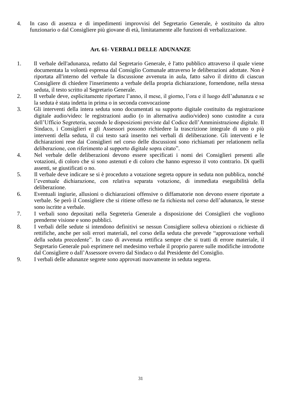4. In caso di assenza e di impedimenti improvvisi del Segretario Generale, è sostituito da altro funzionario o dal Consigliere più giovane di età, limitatamente alle funzioni di verbalizzazione.

#### **Art. 61**- **VERBALI DELLE ADUNANZE**

- <span id="page-30-0"></span>1. Il verbale dell'adunanza, redatto dal Segretario Generale, è l'atto pubblico attraverso il quale viene documentata la volontà espressa dal Consiglio Comunale attraverso le deliberazioni adottate. Non è riportata all'interno del verbale la discussione avvenuta in aula, fatto salvo il diritto di ciascun Consigliere di chiedere l'inserimento a verbale della propria dichiarazione, fornendone, nella stessa seduta, il testo scritto al Segretario Generale.
- 2. Il verbale deve, esplicitamente riportare l'anno, il mese, il giorno, l'ora e il luogo dell'adunanza e se la seduta è stata indetta in prima o in seconda convocazione
- 3. Gli interventi della intera seduta sono documentati su supporto digitale costituito da registrazione digitale audio/video: le registrazioni audio (o in alternativa audio/video) sono custodite a cura dell'Ufficio Segreteria, secondo le disposizioni previste dal Codice dell'Amministrazione digitale. Il Sindaco, i Consiglieri e gli Assessori possono richiedere la trascrizione integrale di uno o più interventi della seduta, il cui testo sarà inserito nei verbali di deliberazione. Gli interventi e le dichiarazioni rese dai Consiglieri nel corso delle discussioni sono richiamati per relationem nella deliberazione, con riferimento al supporto digitale sopra citato".
- 4. Nel verbale delle deliberazioni devono essere specificati i nomi dei Consiglieri presenti alle votazioni, di coloro che si sono astenuti e di coloro che hanno espresso il voto contrario. Di quelli assenti, se giustificati o no.
- 5. Il verbale deve indicare se si è proceduto a votazione segreta oppure in seduta non pubblica, nonché l'eventuale dichiarazione, con relativa separata votazione, di immediata eseguibilità della deliberazione.
- 6. Eventuali ingiurie, allusioni o dichiarazioni offensive o diffamatorie non devono essere riportate a verbale. Se però il Consigliere che si ritiene offeso ne fa richiesta nel corso dell'adunanza, le stesse sono iscritte a verbale.
- 7. I verbali sono depositati nella Segreteria Generale a disposizione dei Consiglieri che vogliono prenderne visione e sono pubblici.
- 8. I verbali delle sedute si intendono definitivi se nessun Consigliere solleva obiezioni o richieste di rettifiche, anche per soli errori materiali, nel corso della seduta che prevede "approvazione verbali della seduta precedente". In caso di avvenuta rettifica sempre che si tratti di errore materiale, il Segretario Generale può esprimere nel medesimo verbale il proprio parere sulle modifiche introdotte dal Consigliere o dall'Assessore ovvero dal Sindaco o dal Presidente del Consiglio.
- 9. I verbali delle adunanze segrete sono approvati nuovamente in seduta segreta.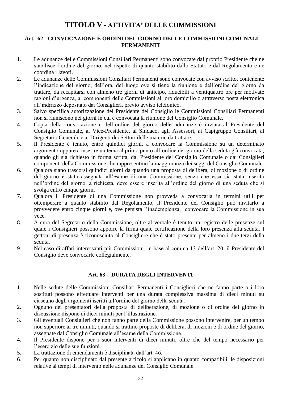#### **TITOLO V - ATTIVITA' DELLE COMMISSIONI**

#### <span id="page-31-1"></span><span id="page-31-0"></span>**Art. 62 - CONVOCAZIONE E ORDINI DEL GIORNO DELLE COMMISSIONI COMUNALI PERMANENTI**

- 1. Le adunanze delle Commissioni Consiliari Permanenti sono convocate dal proprio Presidente che ne stabilisce l'ordine del giorno, nel rispetto di quanto stabilito dallo Statuto e dal Regolamento e ne coordina i lavori.
- 2. Le adunanze delle Commissioni Consiliari Permanenti sono convocate con avviso scritto, contenente l'indicazione del giorno, dell'ora, del luogo ove si tiene la riunione e dell'ordine del giorno da trattare, da recapitarsi con almeno tre giorni di anticipo, riducibili a ventiquattro ore per motivate ragioni d'urgenza, ai componenti delle Commissioni al loro domicilio o attraverso posta elettronica all'indirizzo depositato dai Consiglieri, previo avviso telefonico.
- 3. Salvo specifica autorizzazione del Presidente del Consiglio le Commissioni Consiliari Permanenti non si riuniscono nei giorni in cui è convocata la riunione del Consiglio Comunale.
- 4. Copia della convocazione e dell'ordine del giorno delle adunanze è inviata al Presidente del Consiglio Comunale, al Vice-Presidente, al Sindaco, agli Assessori, ai Capigruppo Consiliari, al Segretario Generale e ai Dirigenti dei Settori delle materie da trattare.
- 5. Il Presidente è tenuto, entro quindici giorni, a convocare la Commissione su un determinato argomento oppure a inserire un tema al primo punto all'ordine del giorno della seduta già convocata, quando gli sia richiesto in forma scritta, dal Presidente del Consiglio Comunale o dai Consiglieri componenti della Commissione che rappresentino la maggioranza dei seggi del Consiglio Comunale.
- 6. Qualora siano trascorsi quindici giorni da quando una proposta di delibera, di mozione o di ordine del giorno è stata assegnata all'esame di una Commissione, senza che essa sia stata inserita nell'ordine del giorno, a richiesta, deve essere inserita all'ordine del giorno di una seduta che si svolga entro cinque giorni.
- 7. Qualora il Presidente di una Commissione non provveda a convocarla in termini utili per ottemperare a quanto stabilito dal Regolamento, il Presidente del Consiglio può invitarlo a provvedere entro cinque giorni e, ove persista l'inadempienza, convocare la Commissione in sua vece.
- 8. A cura del Segretario della Commissione, oltre al verbale è tenuto un registro delle presenze sul quale i Consiglieri possono apporre la firma quale certificazione della loro presenza alla seduta. I gettoni di presenza è riconosciuto al Consigliere che è stato presente per almeno i due terzi della seduta.
- 9. Nel caso di affari interessanti più Commissioni, in base al comma 13 dell'art. 20, il Presidente del Consiglio deve convocarle collegialmente.

#### **Art. 63 - DURATA DEGLI INTERVENTI**

- <span id="page-31-2"></span>1. Nelle sedute delle Commissioni Consiliari Permanenti i Consiglieri che ne fanno parte o i loro sostituti possono effettuare interventi per una durata complessiva massima di dieci minuti su ciascuno degli argomenti iscritti all'ordine del giorno della seduta.
- 2. Ognuno dei presentatori della proposta di deliberazione, di mozione o di ordine del giorno in discussione dispone di dieci minuti per l'illustrazione.
- 3. Gli eventuali Consiglieri che non fanno parte della Commissione possono intervenire, per un tempo non superiore ai tre minuti, quando si trattino proposte di delibera, di mozioni e di ordine del giorno, assegnate dal Consiglio Comunale all'esame della Commissione.
- 4. Il Presidente dispone per i suoi interventi di dieci minuti, oltre che del tempo necessario per l'esercizio delle sue funzioni.
- 5. La trattazione di emendamenti è disciplinata dall'art. 46.
- 6. Per quanto non disciplinato dal presente articolo si applicano in quanto compatibili, le disposizioni relative ai tempi di intervento nelle adunanze del Consiglio Comunale.